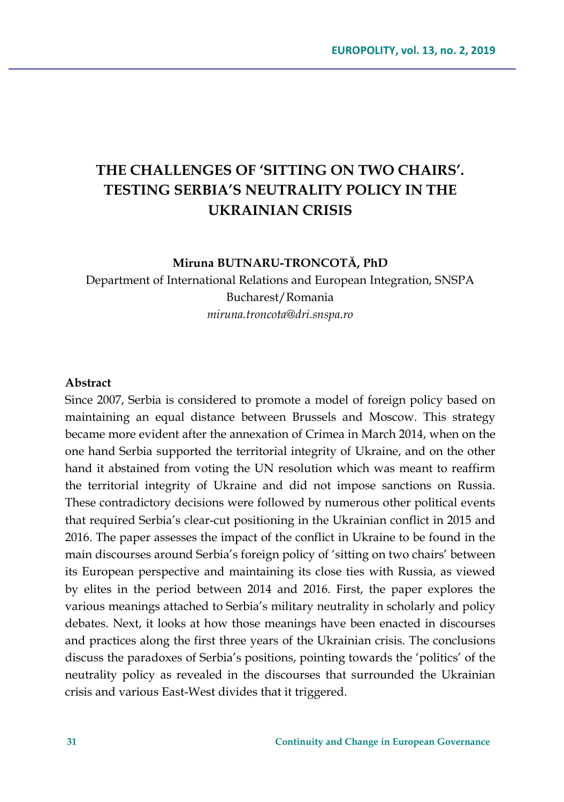# **THE CHALLENGES OF 'SITTING ON TWO CHAIRS'. TESTING SERBIA'S NEUTRALITY POLICY IN THE UKRAINIAN CRISIS**

**Miruna BUTNARU-TRONCOTĂ, PhD**

Department of International Relations and European Integration, SNSPA Bucharest/Romania *[miruna.troncota@dri.snspa.ro](mailto:miruna.troncota@dri.snspa.ro)*

#### **Abstract**

Since 2007, Serbia is considered to promote a model of foreign policy based on maintaining an equal distance between Brussels and Moscow. This strategy became more evident after the annexation of Crimea in March 2014, when on the one hand Serbia supported the territorial integrity of Ukraine, and on the other hand it abstained from voting the UN resolution which was meant to reaffirm the territorial integrity of Ukraine and did not impose sanctions on Russia. These contradictory decisions were followed by numerous other political events that required Serbia's clear-cut positioning in the Ukrainian conflict in 2015 and 2016. The paper assesses the impact of the conflict in Ukraine to be found in the main discourses around Serbia's foreign policy of 'sitting on two chairs' between its European perspective and maintaining its close ties with Russia, as viewed by elites in the period between 2014 and 2016. First, the paper explores the various meanings attached to Serbia's military neutrality in scholarly and policy debates. Next, it looks at how those meanings have been enacted in discourses and practices along the first three years of the Ukrainian crisis. The conclusions discuss the paradoxes of Serbia's positions, pointing towards the 'politics' of the neutrality policy as revealed in the discourses that surrounded the Ukrainian crisis and various East-West divides that it triggered.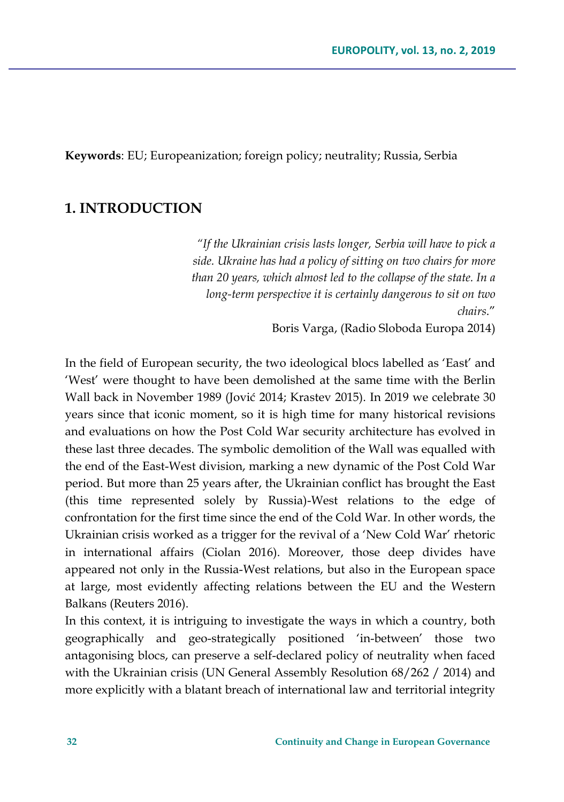**Keywords**: EU; Europeanization; foreign policy; neutrality; Russia, Serbia

### **1. INTRODUCTION**

*"If the Ukrainian crisis lasts longer, Serbia will have to pick a side. Ukraine has had a policy of sitting on two chairs for more than 20 years, which almost led to the collapse of the state. In a long-term perspective it is certainly dangerous to sit on two chairs*."

Boris Varga, (Radio Sloboda Europa 2014)

In the field of European security, the two ideological blocs labelled as 'East' and 'West' were thought to have been demolished at the same time with the Berlin Wall back in November 1989 (Jović 2014; Krastev 2015). In 2019 we celebrate 30 years since that iconic moment, so it is high time for many historical revisions and evaluations on how the Post Cold War security architecture has evolved in these last three decades. The symbolic demolition of the Wall was equalled with the end of the East-West division, marking a new dynamic of the Post Cold War period. But more than 25 years after, the Ukrainian conflict has brought the East (this time represented solely by Russia)-West relations to the edge of confrontation for the first time since the end of the Cold War. In other words, the Ukrainian crisis worked as a trigger for the revival of a 'New Cold War' rhetoric in international affairs (Ciolan 2016). Moreover, those deep divides have appeared not only in the Russia-West relations, but also in the European space at large, most evidently affecting relations between the EU and the Western Balkans (Reuters 2016).

In this context, it is intriguing to investigate the ways in which a country, both geographically and geo-strategically positioned 'in-between' those two antagonising blocs, can preserve a self-declared policy of neutrality when faced with the Ukrainian crisis (UN General Assembly Resolution 68/262 / 2014) and more explicitly with a blatant breach of international law and territorial integrity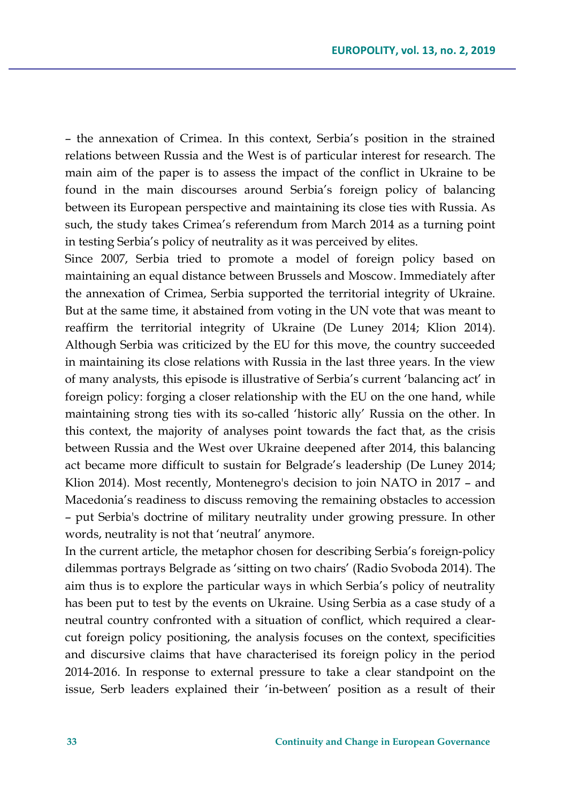– the annexation of Crimea. In this context, Serbia's position in the strained relations between Russia and the West is of particular interest for research. The main aim of the paper is to assess the impact of the conflict in Ukraine to be found in the main discourses around Serbia's foreign policy of balancing between its European perspective and maintaining its close ties with Russia. As such, the study takes Crimea's referendum from March 2014 as a turning point in testing Serbia's policy of neutrality as it was perceived by elites.

Since 2007, Serbia tried to promote a model of foreign policy based on maintaining an equal distance between Brussels and Moscow. Immediately after the annexation of Crimea, Serbia supported the territorial integrity of Ukraine. But at the same time, it abstained from voting in the UN vote that was meant to reaffirm the territorial integrity of Ukraine (De Luney 2014; Klion 2014). Although Serbia was criticized by the EU for this move, the country succeeded in maintaining its close relations with Russia in the last three years. In the view of many analysts, this episode is illustrative of Serbia's current 'balancing act' in foreign policy: forging a closer relationship with the EU on the one hand, while maintaining strong ties with its so-called 'historic ally' Russia on the other. In this context, the majority of analyses point towards the fact that, as the crisis between Russia and the West over Ukraine deepened after 2014, this balancing act became more difficult to sustain for Belgrade's leadership (De Luney 2014; Klion 2014). Most recently, Montenegro's decision to join NATO in 2017 – and Macedonia's readiness to discuss removing the remaining obstacles to accession – put Serbia's doctrine of military neutrality under growing pressure. In other words, neutrality is not that 'neutral' anymore.

In the current article, the metaphor chosen for describing Serbia's foreign-policy dilemmas portrays Belgrade as 'sitting on two chairs' (Radio Svoboda 2014). The aim thus is to explore the particular ways in which Serbia's policy of neutrality has been put to test by the events on Ukraine. Using Serbia as a case study of a neutral country confronted with a situation of conflict, which required a clearcut foreign policy positioning, the analysis focuses on the context, specificities and discursive claims that have characterised its foreign policy in the period 2014-2016. In response to external pressure to take a clear standpoint on the issue, Serb leaders explained their 'in-between' position as a result of their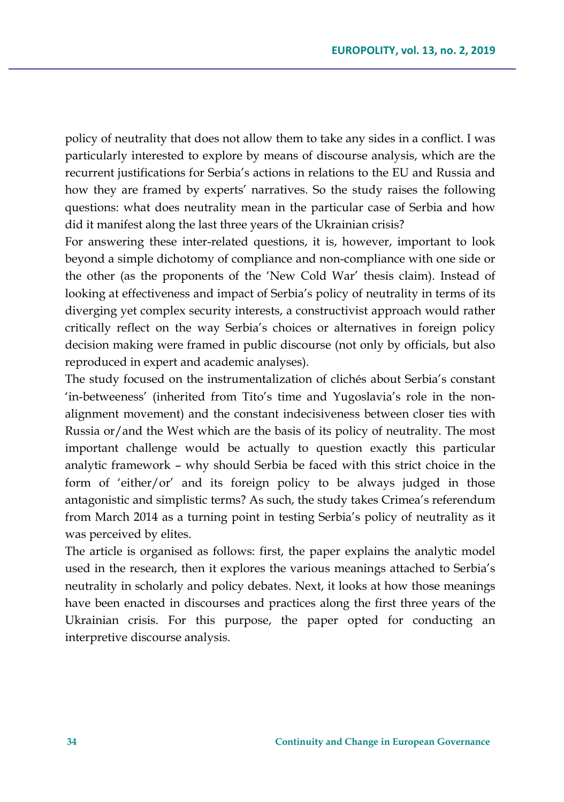policy of neutrality that does not allow them to take any sides in a conflict. I was particularly interested to explore by means of discourse analysis, which are the recurrent justifications for Serbia's actions in relations to the EU and Russia and how they are framed by experts' narratives. So the study raises the following questions: what does neutrality mean in the particular case of Serbia and how did it manifest along the last three years of the Ukrainian crisis?

For answering these inter-related questions, it is, however, important to look beyond a simple dichotomy of compliance and non-compliance with one side or the other (as the proponents of the 'New Cold War' thesis claim). Instead of looking at effectiveness and impact of Serbia's policy of neutrality in terms of its diverging yet complex security interests, a constructivist approach would rather critically reflect on the way Serbia's choices or alternatives in foreign policy decision making were framed in public discourse (not only by officials, but also reproduced in expert and academic analyses).

The study focused on the instrumentalization of clichés about Serbia's constant 'in-betweeness' (inherited from Tito's time and Yugoslavia's role in the nonalignment movement) and the constant indecisiveness between closer ties with Russia or/and the West which are the basis of its policy of neutrality. The most important challenge would be actually to question exactly this particular analytic framework – why should Serbia be faced with this strict choice in the form of 'either/or' and its foreign policy to be always judged in those antagonistic and simplistic terms? As such, the study takes Crimea's referendum from March 2014 as a turning point in testing Serbia's policy of neutrality as it was perceived by elites.

The article is organised as follows: first, the paper explains the analytic model used in the research, then it explores the various meanings attached to Serbia's neutrality in scholarly and policy debates. Next, it looks at how those meanings have been enacted in discourses and practices along the first three years of the Ukrainian crisis. For this purpose, the paper opted for conducting an interpretive discourse analysis.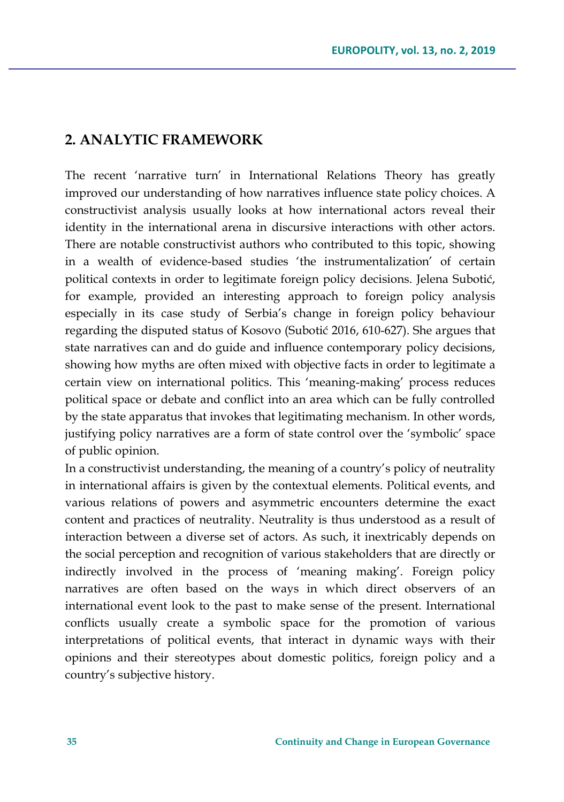#### **2. ANALYTIC FRAMEWORK**

The recent 'narrative turn' in International Relations Theory has greatly improved our understanding of how narratives influence state policy choices. A constructivist analysis usually looks at how international actors reveal their identity in the international arena in discursive interactions with other actors. There are notable constructivist authors who contributed to this topic, showing in a wealth of evidence-based studies 'the instrumentalization' of certain political contexts in order to legitimate foreign policy decisions. Jelena Subotić, for example, provided an interesting approach to foreign policy analysis especially in its case study of Serbia's change in foreign policy behaviour regarding the disputed status of Kosovo (Subotić 2016, 610-627). She argues that state narratives can and do guide and influence contemporary policy decisions, showing how myths are often mixed with objective facts in order to legitimate a certain view on international politics. This 'meaning-making' process reduces political space or debate and conflict into an area which can be fully controlled by the state apparatus that invokes that legitimating mechanism. In other words, justifying policy narratives are a form of state control over the 'symbolic' space of public opinion.

In a constructivist understanding, the meaning of a country's policy of neutrality in international affairs is given by the contextual elements. Political events, and various relations of powers and asymmetric encounters determine the exact content and practices of neutrality. Neutrality is thus understood as a result of interaction between a diverse set of actors. As such, it inextricably depends on the social perception and recognition of various stakeholders that are directly or indirectly involved in the process of 'meaning making'. Foreign policy narratives are often based on the ways in which direct observers of an international event look to the past to make sense of the present. International conflicts usually create a symbolic space for the promotion of various interpretations of political events, that interact in dynamic ways with their opinions and their stereotypes about domestic politics, foreign policy and a country's subjective history.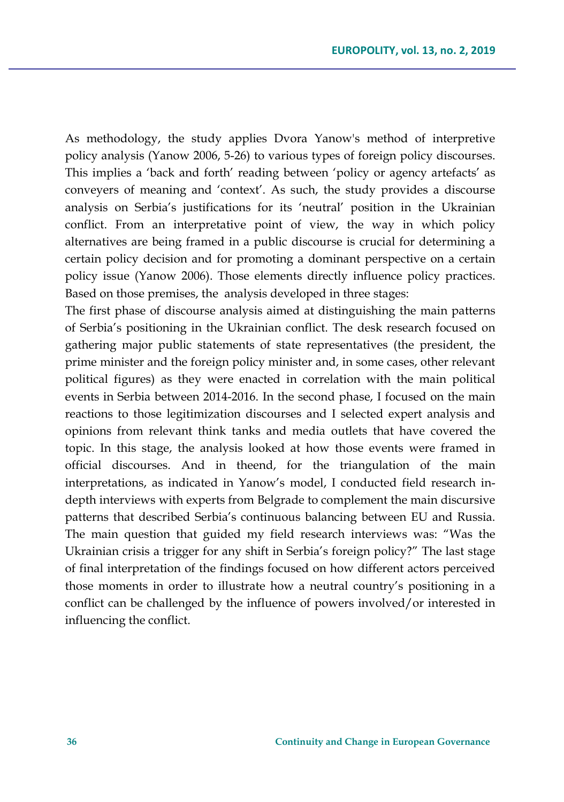As methodology, the study applies Dvora Yanow's method of interpretive policy analysis (Yanow 2006, 5-26) to various types of foreign policy discourses. This implies a 'back and forth' reading between 'policy or agency artefacts' as conveyers of meaning and 'context'. As such, the study provides a discourse analysis on Serbia's justifications for its 'neutral' position in the Ukrainian conflict. From an interpretative point of view, the way in which policy alternatives are being framed in a public discourse is crucial for determining a certain policy decision and for promoting a dominant perspective on a certain policy issue (Yanow 2006). Those elements directly influence policy practices. Based on those premises, the analysis developed in three stages:

The first phase of discourse analysis aimed at distinguishing the main patterns of Serbia's positioning in the Ukrainian conflict. The desk research focused on gathering major public statements of state representatives (the president, the prime minister and the foreign policy minister and, in some cases, other relevant political figures) as they were enacted in correlation with the main political events in Serbia between 2014-2016. In the second phase, I focused on the main reactions to those legitimization discourses and I selected expert analysis and opinions from relevant think tanks and media outlets that have covered the topic. In this stage, the analysis looked at how those events were framed in official discourses. And in theend, for the triangulation of the main interpretations, as indicated in Yanow's model, I conducted field research indepth interviews with experts from Belgrade to complement the main discursive patterns that described Serbia's continuous balancing between EU and Russia. The main question that guided my field research interviews was: "Was the Ukrainian crisis a trigger for any shift in Serbia's foreign policy?" The last stage of final interpretation of the findings focused on how different actors perceived those moments in order to illustrate how a neutral country's positioning in a conflict can be challenged by the influence of powers involved/or interested in influencing the conflict.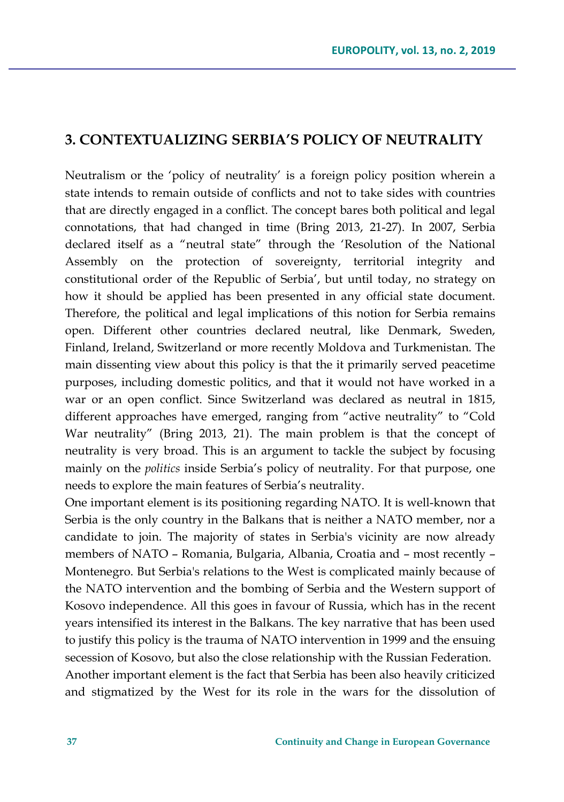#### **3. CONTEXTUALIZING SERBIA'S POLICY OF NEUTRALITY**

Neutralism or the 'policy of neutrality' is a foreign policy position wherein a state intends to remain outside of conflicts and not to take sides with countries that are directly engaged in a conflict. The concept bares both political and legal connotations, that had changed in time (Bring 2013, 21-27). In 2007, Serbia declared itself as a "neutral state" through the 'Resolution of the National Assembly on the protection of sovereignty, territorial integrity and constitutional order of the Republic of Serbia', but until today, no strategy on how it should be applied has been presented in any official state document. Therefore, the political and legal implications of this notion for Serbia remains open. Different other countries declared neutral, like Denmark, Sweden, Finland, Ireland, Switzerland or more recently Moldova and Turkmenistan. The main dissenting view about this policy is that the it primarily served peacetime purposes, including domestic politics, and that it would not have worked in a war or an open conflict. Since Switzerland was declared as neutral in 1815, different approaches have emerged, ranging from "active neutrality" to "Cold War neutrality" (Bring 2013, 21). The main problem is that the concept of neutrality is very broad. This is an argument to tackle the subject by focusing mainly on the *politics* inside Serbia's policy of neutrality. For that purpose, one needs to explore the main features of Serbia's neutrality.

One important element is its positioning regarding NATO. It is well-known that Serbia is the only country in the Balkans that is neither a NATO member, nor a candidate to join. The majority of states in Serbia's vicinity are now already members of NATO – Romania, Bulgaria, Albania, Croatia and – most recently – Montenegro. But Serbia's relations to the West is complicated mainly because of the NATO intervention and the bombing of Serbia and the Western support of Kosovo independence. All this goes in favour of Russia, which has in the recent years intensified its interest in the Balkans. The key narrative that has been used to justify this policy is the trauma of NATO intervention in 1999 and the ensuing secession of Kosovo, but also the close relationship with the Russian Federation. Another important element is the fact that Serbia has been also heavily criticized and stigmatized by the West for its role in the wars for the dissolution of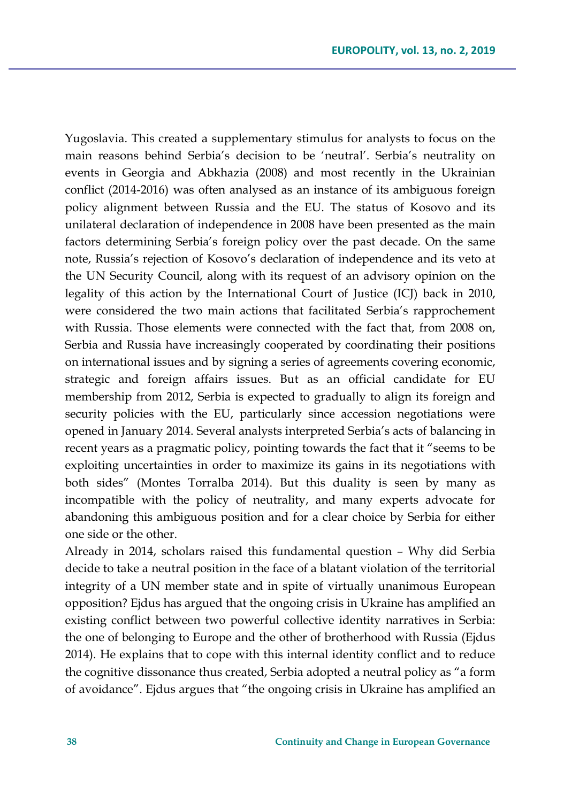Yugoslavia. This created a supplementary stimulus for analysts to focus on the main reasons behind Serbia's decision to be 'neutral'. Serbia's neutrality on events in Georgia and Abkhazia (2008) and most recently in the Ukrainian conflict (2014-2016) was often analysed as an instance of its ambiguous foreign policy alignment between Russia and the EU. The status of Kosovo and its unilateral declaration of independence in 2008 have been presented as the main factors determining Serbia's foreign policy over the past decade. On the same note, Russia's rejection of Kosovo's declaration of independence and its veto at the UN Security Council, along with its request of an advisory opinion on the legality of this action by the International Court of Justice (ICJ) back in 2010, were considered the two main actions that facilitated Serbia's rapprochement with Russia. Those elements were connected with the fact that, from 2008 on, Serbia and Russia have increasingly cooperated by coordinating their positions on international issues and by signing a series of agreements covering economic, strategic and foreign affairs issues. But as an official candidate for EU membership from 2012, Serbia is expected to gradually to align its foreign and security policies with the EU, particularly since accession negotiations were opened in January 2014. Several analysts interpreted Serbia's acts of balancing in recent years as a pragmatic policy, pointing towards the fact that it "seems to be exploiting uncertainties in order to maximize its gains in its negotiations with both sides" (Montes Torralba 2014). But this duality is seen by many as incompatible with the policy of neutrality, and many experts advocate for abandoning this ambiguous position and for a clear choice by Serbia for either one side or the other.

Already in 2014, scholars raised this fundamental question – Why did Serbia decide to take a neutral position in the face of a blatant violation of the territorial integrity of a UN member state and in spite of virtually unanimous European opposition? Ejdus has argued that the ongoing crisis in Ukraine has amplified an existing conflict between two powerful collective identity narratives in Serbia: the one of belonging to Europe and the other of brotherhood with Russia (Ejdus 2014). He explains that to cope with this internal identity conflict and to reduce the cognitive dissonance thus created, Serbia adopted a neutral policy as "a form of avoidance". Ejdus argues that "the ongoing crisis in Ukraine has amplified an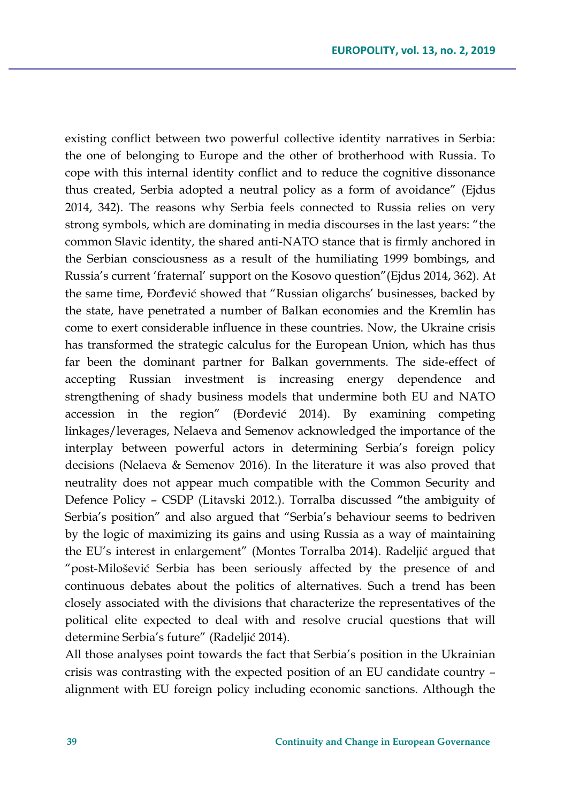existing conflict between two powerful collective identity narratives in Serbia: the one of belonging to Europe and the other of brotherhood with Russia. To cope with this internal identity conflict and to reduce the cognitive dissonance thus created, Serbia adopted a neutral policy as a form of avoidance" (Ejdus 2014, 342). The reasons why Serbia feels connected to Russia relies on very strong symbols, which are dominating in media discourses in the last years: "the common Slavic identity, the shared anti-NATO stance that is firmly anchored in the Serbian consciousness as a result of the humiliating 1999 bombings, and Russia's current 'fraternal' support on the Kosovo question"(Ejdus 2014, 362). At the same time, Đorđević showed that "Russian oligarchs' businesses, backed by the state, have penetrated a number of Balkan economies and the Kremlin has come to exert considerable influence in these countries. Now, the Ukraine crisis has transformed the strategic calculus for the European Union, which has thus far been the dominant partner for Balkan governments. The side-effect of accepting Russian investment is increasing energy dependence and strengthening of shady business models that undermine both EU and NATO accession in the region" (Đorđević 2014). By examining competing linkages/leverages, Nelaeva and Semenov acknowledged the importance of the interplay between powerful actors in determining Serbia's foreign policy decisions (Nelaeva & Semenov 2016). In the literature it was also proved that neutrality does not appear much compatible with the Common Security and Defence Policy – CSDP (Litavski 2012.). Torralba discussed **"**the ambiguity of Serbia's position" and also argued that "Serbia's behaviour seems to bedriven by the logic of maximizing its gains and using Russia as a way of maintaining the EU's interest in enlargement" (Montes Torralba 2014). Radeljić argued that "post-Milošević Serbia has been seriously affected by the presence of and continuous debates about the politics of alternatives. Such a trend has been closely associated with the divisions that characterize the representatives of the political elite expected to deal with and resolve crucial questions that will determine Serbia's future" (Radeljić 2014).

All those analyses point towards the fact that Serbia's position in the Ukrainian crisis was contrasting with the expected position of an EU candidate country – alignment with EU foreign policy including economic sanctions. Although the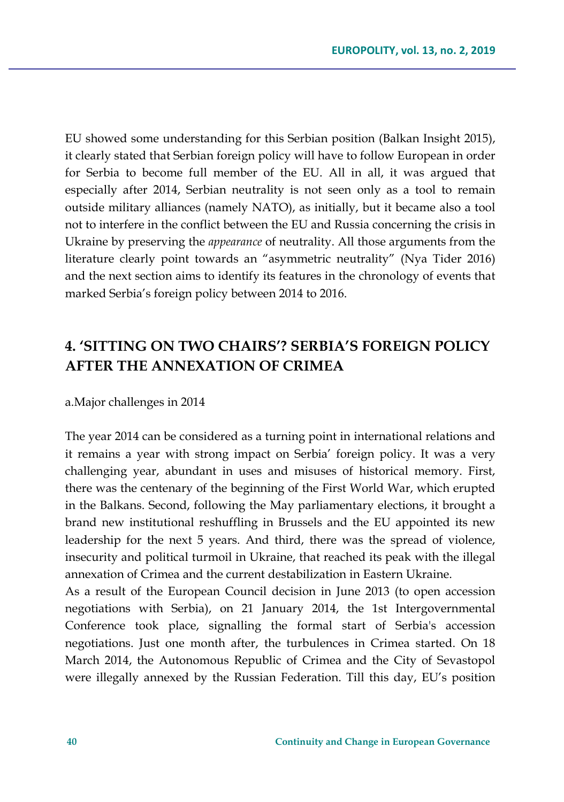EU showed some understanding for this Serbian position (Balkan Insight 2015), it clearly stated that Serbian foreign policy will have to follow European in order for Serbia to become full member of the EU. All in all, it was argued that especially after 2014, Serbian neutrality is not seen only as a tool to remain outside military alliances (namely NATO), as initially, but it became also a tool not to interfere in the conflict between the EU and Russia concerning the crisis in Ukraine by preserving the *appearance* of neutrality. All those arguments from the literature clearly point towards an "asymmetric neutrality" (Nya Tider 2016) and the next section aims to identify its features in the chronology of events that marked Serbia's foreign policy between 2014 to 2016.

## **4. 'SITTING ON TWO CHAIRS'? SERBIA'S FOREIGN POLICY AFTER THE ANNEXATION OF CRIMEA**

a.Major challenges in 2014

The year 2014 can be considered as a turning point in international relations and it remains a year with strong impact on Serbia' foreign policy. It was a very challenging year, abundant in uses and misuses of historical memory. First, there was the centenary of the beginning of the First World War, which erupted in the Balkans. Second, following the May parliamentary elections, it brought a brand new institutional reshuffling in Brussels and the EU appointed its new leadership for the next 5 years. And third, there was the spread of violence, insecurity and political turmoil in Ukraine, that reached its peak with the illegal annexation of Crimea and the current destabilization in Eastern Ukraine.

As a result of the European Council decision in June 2013 (to open accession negotiations with Serbia), on 21 January 2014, the 1st Intergovernmental Conference took place, signalling the formal start of Serbia's accession negotiations. Just one month after, the turbulences in Crimea started. On 18 March 2014, the Autonomous Republic of Crimea and the City of Sevastopol were illegally annexed by the Russian Federation. Till this day, EU's position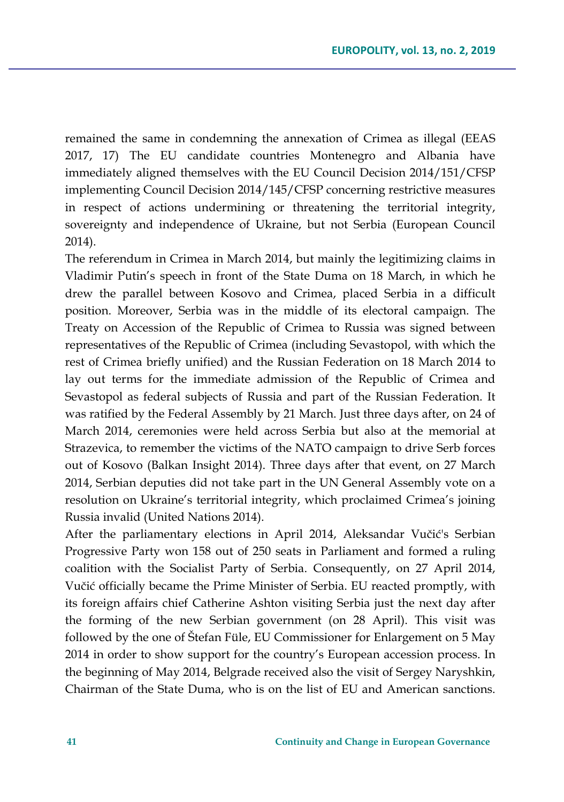remained the same in condemning the annexation of Crimea as illegal (EEAS 2017, 17) The EU candidate countries Montenegro and Albania have immediately aligned themselves with the EU Council Decision 2014/151/CFSP implementing Council Decision 2014/145/CFSP concerning restrictive measures in respect of actions undermining or threatening the territorial integrity, sovereignty and independence of Ukraine, but not Serbia (European Council 2014).

The referendum in Crimea in March 2014, but mainly the legitimizing claims in Vladimir Putin's speech in front of the State Duma on 18 March, in which he drew the parallel between Kosovo and Crimea, placed Serbia in a difficult position. Moreover, Serbia was in the middle of its electoral campaign. The Treaty on Accession of the Republic of Crimea to Russia was signed between representatives of the Republic of Crimea (including Sevastopol, with which the rest of Crimea briefly unified) and the Russian Federation on 18 March 2014 to lay out terms for the immediate admission of the Republic of Crimea and Sevastopol as federal subjects of Russia and part of the Russian Federation. It was ratified by the Federal Assembly by 21 March. Just three days after, on 24 of March 2014, ceremonies were held across Serbia but also at the memorial at Strazevica, to remember the victims of the NATO campaign to drive Serb forces out of Kosovo (Balkan Insight 2014). Three days after that event, on 27 March 2014, Serbian deputies did not take part in the UN General Assembly vote on a resolution on Ukraine's territorial integrity, which proclaimed Crimea's joining Russia invalid (United Nations 2014).

After the parliamentary elections in April 2014, Aleksandar Vučić's Serbian Progressive Party won 158 out of 250 seats in Parliament and formed a ruling coalition with the Socialist Party of Serbia. Consequently, on 27 April 2014, Vučić officially became the Prime Minister of Serbia. EU reacted promptly, with its foreign affairs chief Catherine Ashton visiting Serbia just the next day after the forming of the new Serbian government (on 28 April). This visit was followed by the one of Štefan Füle, EU Commissioner for Enlargement on 5 May 2014 in order to show support for the country's European accession process. In the beginning of May 2014, Belgrade received also the visit of Sergey Naryshkin, Chairman of the State Duma, who is on the list of EU and American sanctions.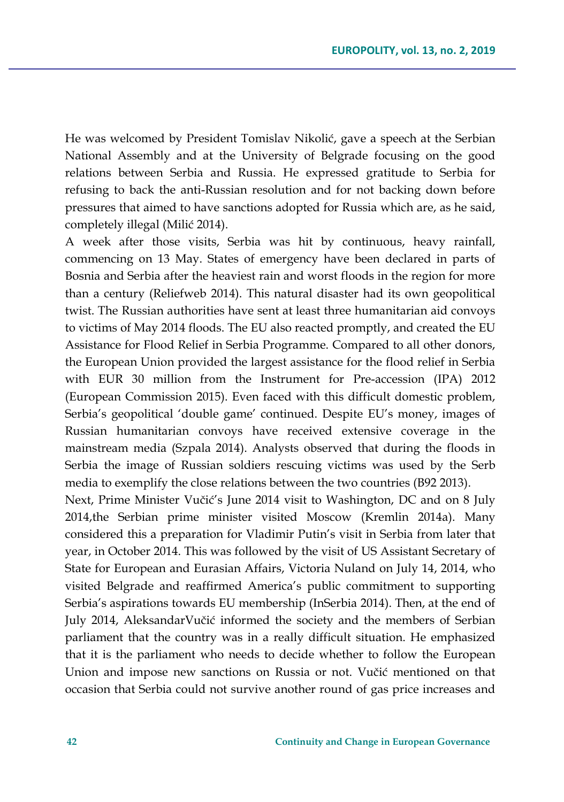He was welcomed by President Tomislav Nikolić, gave a speech at the Serbian National Assembly and at the University of Belgrade focusing on the good relations between Serbia and Russia. He expressed gratitude to Serbia for refusing to back the anti-Russian resolution and for not backing down before pressures that aimed to have sanctions adopted for Russia which are, as he said, completely illegal (Milić 2014).

A week after those visits, Serbia was hit by continuous, heavy rainfall, commencing on 13 May. States of emergency have been declared in parts of Bosnia and Serbia after the heaviest rain and worst floods in the region for more than a century (Reliefweb 2014). This natural disaster had its own geopolitical twist. The Russian authorities have sent at least three humanitarian aid convoys to victims of May 2014 floods. The EU also reacted promptly, and created the EU Assistance for Flood Relief in Serbia Programme. Compared to all other donors, the European Union provided the largest assistance for the flood relief in Serbia with EUR 30 million from the Instrument for Pre-accession (IPA) 2012 (European Commission 2015). Even faced with this difficult domestic problem, Serbia's geopolitical 'double game' continued. Despite EU's money, images of Russian humanitarian convoys have received extensive coverage in the mainstream media (Szpala 2014). Analysts observed that during the floods in Serbia the image of Russian soldiers rescuing victims was used by the Serb media to exemplify the close relations between the two countries (B92 2013).

Next, Prime Minister Vučić's June 2014 visit to Washington, DC and on 8 July 2014,the Serbian prime minister visited Moscow (Kremlin 2014a). Many considered this a preparation for Vladimir Putin's visit in Serbia from later that year, in October 2014. This was followed by the visit of US Assistant Secretary of State for European and Eurasian Affairs, Victoria Nuland on July 14, 2014, who visited Belgrade and reaffirmed America's public commitment to supporting Serbia's aspirations towards EU membership (InSerbia 2014). Then, at the end of July 2014, AleksandarVučić informed the society and the members of Serbian parliament that the country was in a really difficult situation. He emphasized that it is the parliament who needs to decide whether to follow the European Union and impose new sanctions on Russia or not. Vučić mentioned on that occasion that Serbia could not survive another round of gas price increases and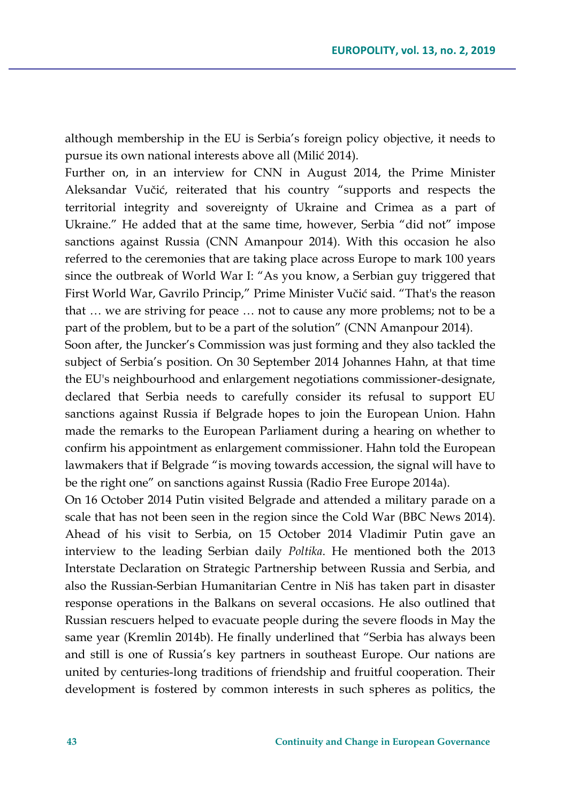although membership in the EU is Serbia's foreign policy objective, it needs to pursue its own national interests above all (Milić 2014).

Further on, in an interview for CNN in August 2014, the Prime Minister Aleksandar Vučić, reiterated that his country "supports and respects the territorial integrity and sovereignty of Ukraine and Crimea as a part of Ukraine." He added that at the same time, however, Serbia "did not" impose sanctions against Russia (CNN Amanpour 2014). With this occasion he also referred to the ceremonies that are taking place across Europe to mark 100 years since the outbreak of World War I: "As you know, a Serbian guy triggered that First World War, Gavrilo Princip," Prime Minister Vučić said. "That's the reason that … we are striving for peace … not to cause any more problems; not to be a part of the problem, but to be a part of the solution" (CNN Amanpour 2014).

Soon after, the Juncker's Commission was just forming and they also tackled the subject of Serbia's position. On 30 September 2014 Johannes Hahn, at that time the EU's neighbourhood and enlargement negotiations commissioner-designate, declared that Serbia needs to carefully consider its refusal to support EU sanctions against Russia if Belgrade hopes to join the European Union. Hahn made the remarks to the European Parliament during a hearing on whether to confirm his appointment as enlargement commissioner. Hahn told the European lawmakers that if Belgrade "is moving towards accession, the signal will have to be the right one" on sanctions against Russia (Radio Free Europe 2014a).

On 16 October 2014 Putin visited Belgrade and attended a military parade on a scale that has not been seen in the region since the Cold War (BBC News 2014). Ahead of his visit to Serbia, on 15 October 2014 Vladimir Putin gave an interview to the leading Serbian daily *Poltika*. He mentioned both the 2013 Interstate Declaration on Strategic Partnership between Russia and Serbia, and also the Russian-Serbian Humanitarian Centre in Niš has taken part in disaster response operations in the Balkans on several occasions. He also outlined that Russian rescuers helped to evacuate people during the severe floods in May the same year (Kremlin 2014b). He finally underlined that "Serbia has always been and still is one of Russia's key partners in southeast Europe. Our nations are united by centuries-long traditions of friendship and fruitful cooperation. Their development is fostered by common interests in such spheres as politics, the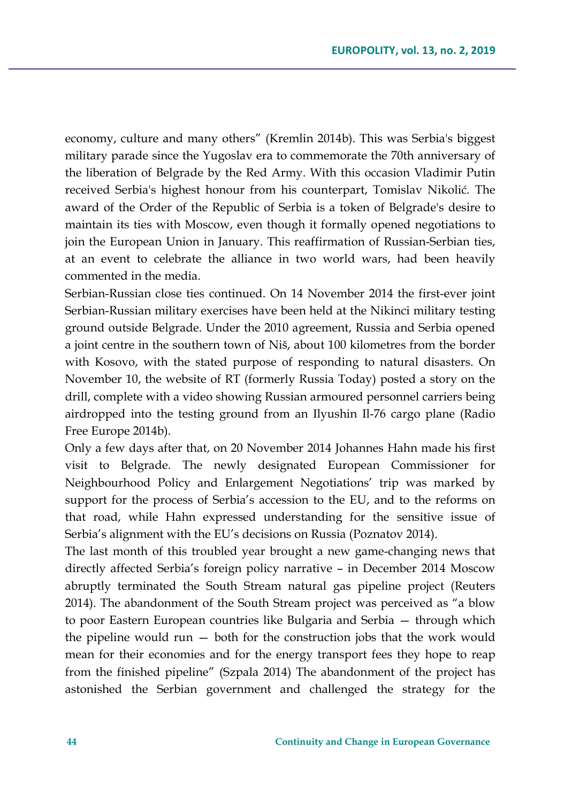economy, culture and many others" (Kremlin 2014b). This was Serbia's biggest military parade since the Yugoslav era to commemorate the 70th anniversary of the liberation of Belgrade by the Red Army. With this occasion Vladimir Putin received Serbia's highest honour from his counterpart, Tomislav Nikolić. The award of the Order of the Republic of Serbia is a token of Belgrade's desire to maintain its ties with Moscow, even though it formally opened negotiations to join the European Union in January. This reaffirmation of Russian-Serbian ties, at an event to celebrate the alliance in two world wars, had been heavily commented in the media.

Serbian-Russian close ties continued. On 14 November 2014 the first-ever joint Serbian-Russian military exercises have been held at the Nikinci military testing ground outside Belgrade. Under the 2010 agreement, Russia and Serbia opened a joint centre in the southern town of Niš, about 100 kilometres from the border with Kosovo, with the stated purpose of responding to natural disasters. On November 10, the website of RT (formerly Russia Today) posted a story on the drill, complete with a video showing Russian armoured personnel carriers being airdropped into the testing ground from an Ilyushin Il-76 cargo plane (Radio Free Europe 2014b).

Only a few days after that, on 20 November 2014 Johannes Hahn made his first visit to Belgrade. The newly designated European Commissioner for Neighbourhood Policy and Enlargement Negotiations' trip was marked by support for the process of Serbia's accession to the EU, and to the reforms on that road, while Hahn expressed understanding for the sensitive issue of Serbia's alignment with the EU's decisions on Russia (Poznatov 2014).

The last month of this troubled year brought a new game-changing news that directly affected Serbia's foreign policy narrative – in December 2014 Moscow abruptly terminated the South Stream natural gas pipeline project (Reuters 2014). The abandonment of the South Stream project was perceived as "a blow to poor Eastern European countries like Bulgaria and Serbia — through which the pipeline would run — both for the construction jobs that the work would mean for their economies and for the energy transport fees they hope to reap from the finished pipeline" (Szpala 2014) The abandonment of the project has astonished the Serbian government and challenged the strategy for the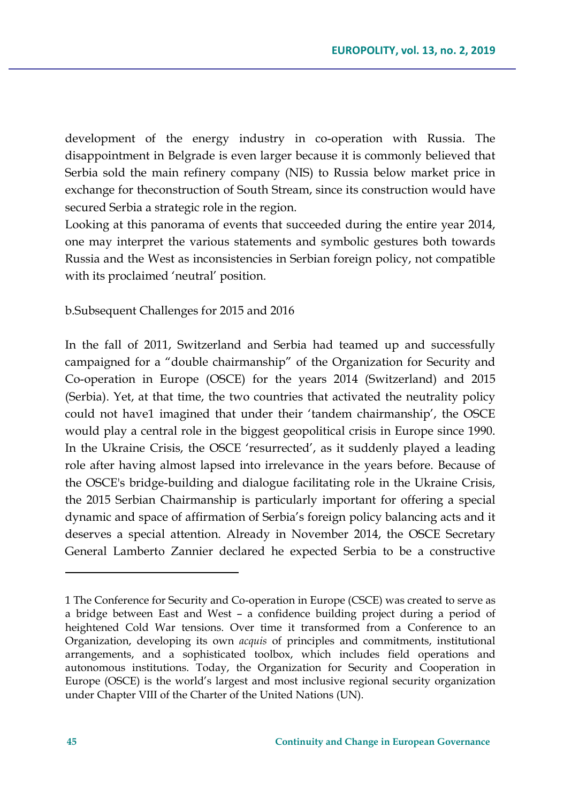development of the energy industry in co-operation with Russia. The disappointment in Belgrade is even larger because it is commonly believed that Serbia sold the main refinery company (NIS) to Russia below market price in exchange for theconstruction of South Stream, since its construction would have secured Serbia a strategic role in the region.

Looking at this panorama of events that succeeded during the entire year 2014, one may interpret the various statements and symbolic gestures both towards Russia and the West as inconsistencies in Serbian foreign policy, not compatible with its proclaimed 'neutral' position.

b.Subsequent Challenges for 2015 and 2016

In the fall of 2011, Switzerland and Serbia had teamed up and successfully campaigned for a "double chairmanship" of the Organization for Security and Co-operation in Europe (OSCE) for the years 2014 (Switzerland) and 2015 (Serbia). Yet, at that time, the two countries that activated the neutrality policy could not have1 imagined that under their 'tandem chairmanship', the OSCE would play a central role in the biggest geopolitical crisis in Europe since 1990. In the Ukraine Crisis, the OSCE 'resurrected', as it suddenly played a leading role after having almost lapsed into irrelevance in the years before. Because of the OSCE's bridge-building and dialogue facilitating role in the Ukraine Crisis, the 2015 Serbian Chairmanship is particularly important for offering a special dynamic and space of affirmation of Serbia's foreign policy balancing acts and it deserves a special attention. Already in November 2014, the OSCE Secretary General Lamberto Zannier declared he expected Serbia to be a constructive

 $\overline{a}$ 

<sup>1</sup> The Conference for Security and Co-operation in Europe (CSCE) was created to serve as a bridge between East and West – a confidence building project during a period of heightened Cold War tensions. Over time it transformed from a Conference to an Organization, developing its own *acquis* of principles and commitments, institutional arrangements, and a sophisticated toolbox, which includes field operations and autonomous institutions. Today, the Organization for Security and Cooperation in Europe (OSCE) is the world's largest and most inclusive regional security organization under Chapter VIII of the Charter of the United Nations (UN).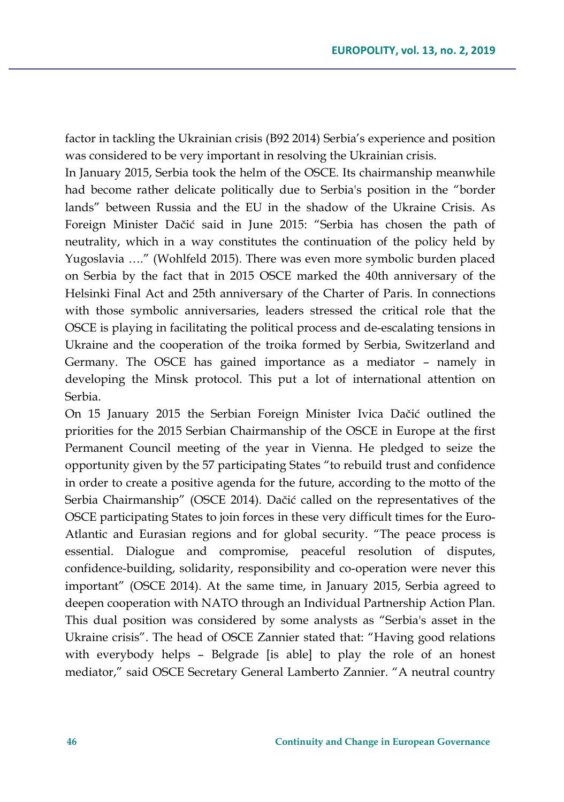factor in tackling the Ukrainian crisis (B92 2014) Serbia's experience and position was considered to be very important in resolving the Ukrainian crisis.

In January 2015, Serbia took the helm of the OSCE. Its chairmanship meanwhile had become rather delicate politically due to Serbia's position in the "border lands" between Russia and the EU in the shadow of the Ukraine Crisis. As Foreign Minister Dačić said in June 2015: "Serbia has chosen the path of neutrality, which in a way constitutes the continuation of the policy held by Yugoslavia …." (Wohlfeld 2015). There was even more symbolic burden placed on Serbia by the fact that in 2015 OSCE marked the 40th anniversary of the Helsinki Final Act and 25th anniversary of the Charter of Paris. In connections with those symbolic anniversaries, leaders stressed the critical role that the OSCE is playing in facilitating the political process and de-escalating tensions in Ukraine and the cooperation of the troika formed by Serbia, Switzerland and Germany. The OSCE has gained importance as a mediator – namely in developing the Minsk protocol. This put a lot of international attention on Serbia.

On 15 January 2015 the Serbian Foreign Minister Ivica Dačić outlined the priorities for the 2015 Serbian Chairmanship of the OSCE in Europe at the first Permanent Council meeting of the year in Vienna. He pledged to seize the opportunity given by the 57 participating States "to rebuild trust and confidence in order to create a positive agenda for the future, according to the motto of the Serbia Chairmanship" (OSCE 2014). Dačić called on the representatives of the OSCE participating States to join forces in these very difficult times for the Euro-Atlantic and Eurasian regions and for global security. "The peace process is essential. Dialogue and compromise, peaceful resolution of disputes, confidence-building, solidarity, responsibility and co-operation were never this important" (OSCE 2014). At the same time, in January 2015, Serbia agreed to deepen cooperation with NATO through an Individual Partnership Action Plan. This dual position was considered by some analysts as "Serbia's asset in the Ukraine crisis". The head of OSCE Zannier stated that: "Having good relations with everybody helps – Belgrade [is able] to play the role of an honest mediator," said OSCE Secretary General Lamberto Zannier. "A neutral country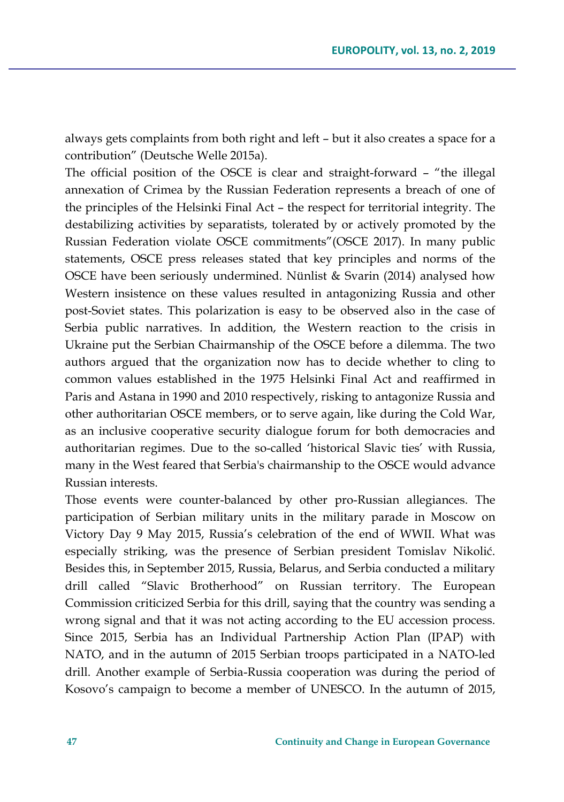always gets complaints from both right and left – but it also creates a space for a contribution" (Deutsche Welle 2015a).

The official position of the OSCE is clear and straight-forward – "the illegal annexation of Crimea by the Russian Federation represents a breach of one of the principles of the Helsinki Final Act – the respect for territorial integrity. The destabilizing activities by separatists, tolerated by or actively promoted by the Russian Federation violate OSCE commitments"(OSCE 2017). In many public statements, OSCE press releases stated that key principles and norms of the OSCE have been seriously undermined. Nünlist & Svarin (2014) analysed how Western insistence on these values resulted in antagonizing Russia and other post-Soviet states. This polarization is easy to be observed also in the case of Serbia public narratives. In addition, the Western reaction to the crisis in Ukraine put the Serbian Chairmanship of the OSCE before a dilemma. The two authors argued that the organization now has to decide whether to cling to common values established in the 1975 Helsinki Final Act and reaffirmed in Paris and Astana in 1990 and 2010 respectively, risking to antagonize Russia and other authoritarian OSCE members, or to serve again, like during the Cold War, as an inclusive cooperative security dialogue forum for both democracies and authoritarian regimes. Due to the so-called 'historical Slavic ties' with Russia, many in the West feared that Serbia's chairmanship to the OSCE would advance Russian interests.

Those events were counter-balanced by other pro-Russian allegiances. The participation of Serbian military units in the military parade in Moscow on Victory Day 9 May 2015, Russia's celebration of the end of WWII. What was especially striking, was the presence of Serbian president Tomislav Nikolić. Besides this, in September 2015, Russia, Belarus, and Serbia conducted a military drill called "Slavic Brotherhood" on Russian territory. The European Commission criticized Serbia for this drill, saying that the country was sending a wrong signal and that it was not acting according to the EU accession process. Since 2015, Serbia has an Individual Partnership Action Plan (IPAP) with NATO, and in the autumn of 2015 Serbian troops participated in a NATO-led drill. Another example of Serbia-Russia cooperation was during the period of Kosovo's campaign to become a member of UNESCO. In the autumn of 2015,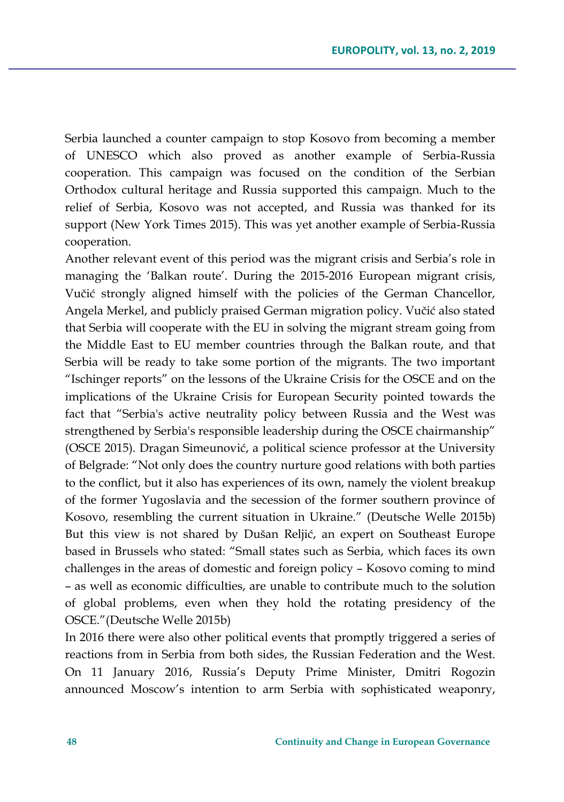Serbia launched a counter campaign to stop Kosovo from becoming a member of UNESCO which also proved as another example of Serbia-Russia cooperation. This campaign was focused on the condition of the Serbian Orthodox cultural heritage and Russia supported this campaign. Much to the relief of Serbia, Kosovo was not accepted, and Russia was thanked for its support (New York Times 2015). This was yet another example of Serbia-Russia cooperation.

Another relevant event of this period was the migrant crisis and Serbia's role in managing the 'Balkan route'. During the 2015-2016 European migrant crisis, Vučić strongly aligned himself with the policies of the German Chancellor, Angela Merkel, and publicly praised German migration policy. Vučić also stated that Serbia will cooperate with the EU in solving the migrant stream going from the Middle East to EU member countries through the Balkan route, and that Serbia will be ready to take some portion of the migrants. The two important "Ischinger reports" on the lessons of the Ukraine Crisis for the OSCE and on the implications of the Ukraine Crisis for European Security pointed towards the fact that "Serbia's active neutrality policy between Russia and the West was strengthened by Serbia's responsible leadership during the OSCE chairmanship" (OSCE 2015). Dragan Simeunović, a political science professor at the University of Belgrade: "Not only does the country nurture good relations with both parties to the conflict, but it also has experiences of its own, namely the violent breakup of the former Yugoslavia and the secession of the former southern province of Kosovo, resembling the current situation in Ukraine." (Deutsche Welle 2015b) But this view is not shared by Dušan Reljić, an expert on Southeast Europe based in Brussels who stated: "Small states such as Serbia, which faces its own challenges in the areas of domestic and foreign policy – Kosovo coming to mind – as well as economic difficulties, are unable to contribute much to the solution of global problems, even when they hold the rotating presidency of the OSCE."(Deutsche Welle 2015b)

In 2016 there were also other political events that promptly triggered a series of reactions from in Serbia from both sides, the Russian Federation and the West. On 11 January 2016, Russia's Deputy Prime Minister, Dmitri Rogozin announced Moscow's intention to arm Serbia with sophisticated weaponry,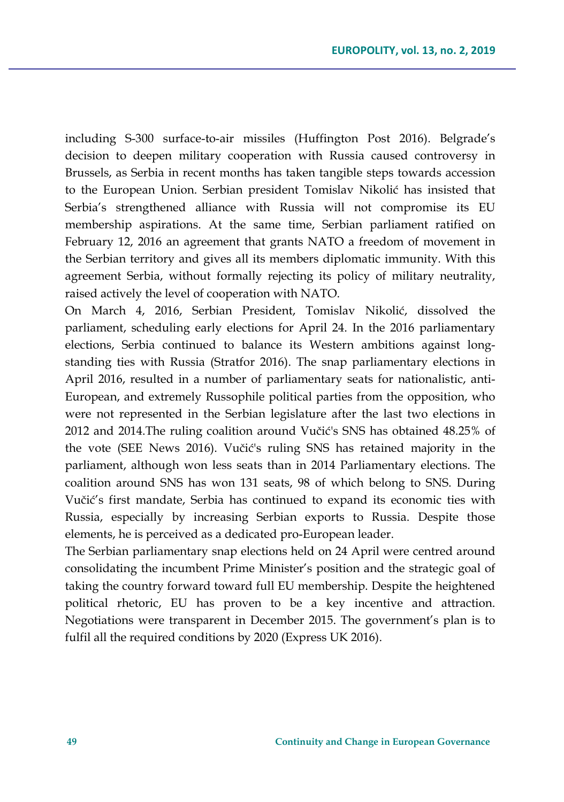including S-300 surface-to-air missiles (Huffington Post 2016). Belgrade's decision to deepen military cooperation with Russia caused controversy in Brussels, as Serbia in recent months has taken tangible steps towards accession to the European Union. Serbian president Tomislav Nikolić has insisted that Serbia's strengthened alliance with Russia will not compromise its EU membership aspirations. At the same time, Serbian parliament ratified on February 12, 2016 an agreement that grants NATO a freedom of movement in the Serbian territory and gives all its members diplomatic immunity. With this agreement Serbia, without formally rejecting its policy of military neutrality, raised actively the level of cooperation with NATO.

On March 4, 2016, Serbian President, Tomislav Nikolić, dissolved the parliament, scheduling early elections for April 24. In the 2016 parliamentary elections, Serbia continued to balance its Western ambitions against longstanding ties with Russia (Stratfor 2016). The snap parliamentary elections in April 2016, resulted in a number of parliamentary seats for nationalistic, anti-European, and extremely Russophile political parties from the opposition, who were not represented in the Serbian legislature after the last two elections in 2012 and 2014.The ruling coalition around Vučić's SNS has obtained 48.25% of the vote (SEE News 2016). Vučić's ruling SNS has retained majority in the parliament, although won less seats than in 2014 Parliamentary elections. The coalition around SNS has won 131 seats, 98 of which belong to SNS. During Vučić's first mandate, Serbia has continued to expand its economic ties with Russia, especially by increasing Serbian exports to Russia. Despite those elements, he is perceived as a dedicated pro-European leader.

The Serbian parliamentary snap elections held on 24 April were centred around consolidating the incumbent Prime Minister's position and the strategic goal of taking the country forward toward full EU membership. Despite the heightened political rhetoric, EU has proven to be a key incentive and attraction. Negotiations were transparent in December 2015. The government's plan is to fulfil all the required conditions by 2020 (Express UK 2016).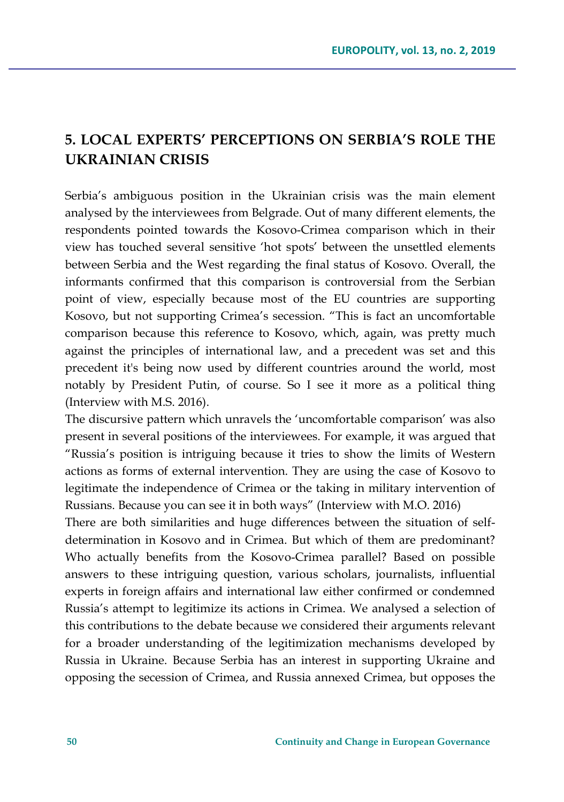## **5. LOCAL EXPERTS' PERCEPTIONS ON SERBIA'S ROLE THE UKRAINIAN CRISIS**

Serbia's ambiguous position in the Ukrainian crisis was the main element analysed by the interviewees from Belgrade. Out of many different elements, the respondents pointed towards the Kosovo-Crimea comparison which in their view has touched several sensitive 'hot spots' between the unsettled elements between Serbia and the West regarding the final status of Kosovo. Overall, the informants confirmed that this comparison is controversial from the Serbian point of view, especially because most of the EU countries are supporting Kosovo, but not supporting Crimea's secession. "This is fact an uncomfortable comparison because this reference to Kosovo, which, again, was pretty much against the principles of international law, and a precedent was set and this precedent it's being now used by different countries around the world, most notably by President Putin, of course. So I see it more as a political thing (Interview with M.S. 2016).

The discursive pattern which unravels the 'uncomfortable comparison' was also present in several positions of the interviewees. For example, it was argued that "Russia's position is intriguing because it tries to show the limits of Western actions as forms of external intervention. They are using the case of Kosovo to legitimate the independence of Crimea or the taking in military intervention of Russians. Because you can see it in both ways" (Interview with M.O. 2016)

There are both similarities and huge differences between the situation of selfdetermination in Kosovo and in Crimea. But which of them are predominant? Who actually benefits from the Kosovo-Crimea parallel? Based on possible answers to these intriguing question, various scholars, journalists, influential experts in foreign affairs and international law either confirmed or condemned Russia's attempt to legitimize its actions in Crimea. We analysed a selection of this contributions to the debate because we considered their arguments relevant for a broader understanding of the legitimization mechanisms developed by Russia in Ukraine. Because Serbia has an interest in supporting Ukraine and opposing the secession of Crimea, and Russia annexed Crimea, but opposes the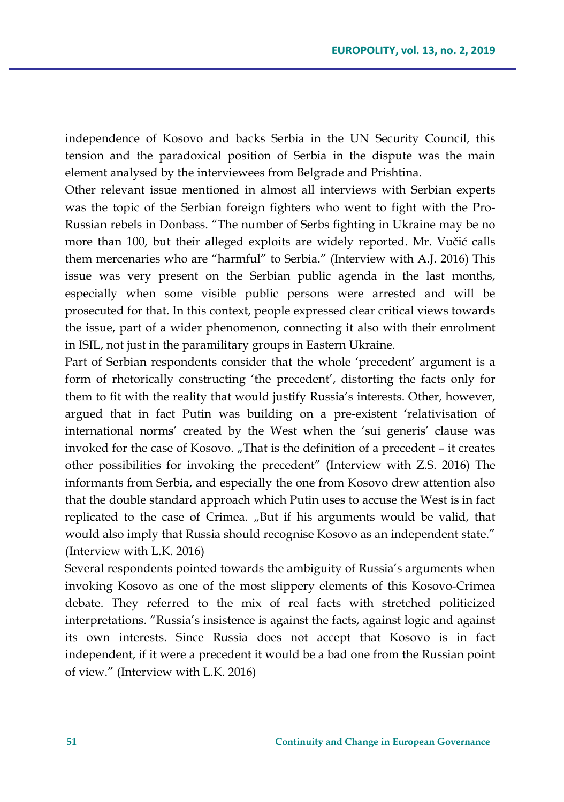independence of Kosovo and backs Serbia in the UN Security Council, this tension and the paradoxical position of Serbia in the dispute was the main element analysed by the interviewees from Belgrade and Prishtina.

Other relevant issue mentioned in almost all interviews with Serbian experts was the topic of the Serbian foreign fighters who went to fight with the Pro-Russian rebels in Donbass. "The number of Serbs fighting in Ukraine may be no more than 100, but their alleged exploits are widely reported. Mr. Vučić calls them mercenaries who are "harmful" to Serbia." (Interview with A.J. 2016) This issue was very present on the Serbian public agenda in the last months, especially when some visible public persons were arrested and will be prosecuted for that. In this context, people expressed clear critical views towards the issue, part of a wider phenomenon, connecting it also with their enrolment in ISIL, not just in the paramilitary groups in Eastern Ukraine.

Part of Serbian respondents consider that the whole 'precedent' argument is a form of rhetorically constructing 'the precedent', distorting the facts only for them to fit with the reality that would justify Russia's interests. Other, however, argued that in fact Putin was building on a pre-existent 'relativisation of international norms' created by the West when the 'sui generis' clause was invoked for the case of Kosovo. "That is the definition of a precedent – it creates other possibilities for invoking the precedent" (Interview with Z.S. 2016) The informants from Serbia, and especially the one from Kosovo drew attention also that the double standard approach which Putin uses to accuse the West is in fact replicated to the case of Crimea. "But if his arguments would be valid, that would also imply that Russia should recognise Kosovo as an independent state." (Interview with L.K. 2016)

Several respondents pointed towards the ambiguity of Russia's arguments when invoking Kosovo as one of the most slippery elements of this Kosovo-Crimea debate. They referred to the mix of real facts with stretched politicized interpretations. "Russia's insistence is against the facts, against logic and against its own interests. Since Russia does not accept that Kosovo is in fact independent, if it were a precedent it would be a bad one from the Russian point of view." (Interview with L.K. 2016)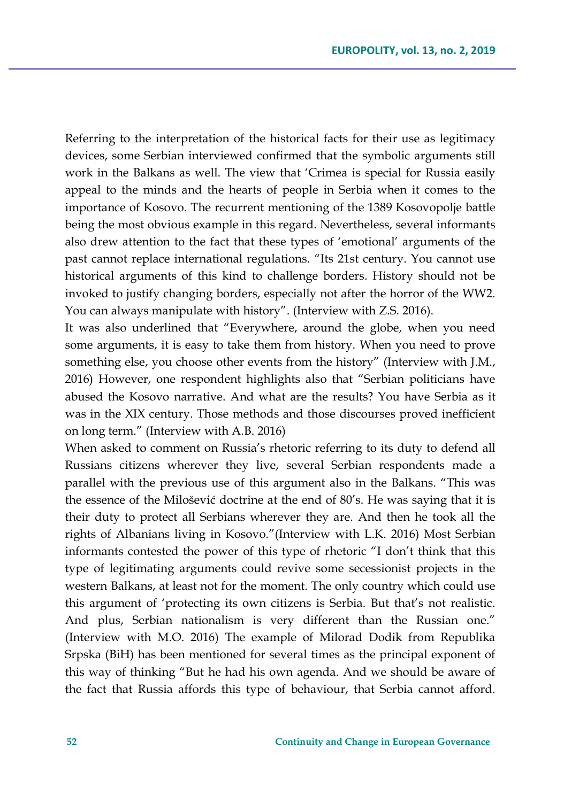Referring to the interpretation of the historical facts for their use as legitimacy devices, some Serbian interviewed confirmed that the symbolic arguments still work in the Balkans as well. The view that 'Crimea is special for Russia easily appeal to the minds and the hearts of people in Serbia when it comes to the importance of Kosovo. The recurrent mentioning of the 1389 Kosovopolje battle being the most obvious example in this regard. Nevertheless, several informants also drew attention to the fact that these types of 'emotional' arguments of the past cannot replace international regulations. "Its 21st century. You cannot use historical arguments of this kind to challenge borders. History should not be invoked to justify changing borders, especially not after the horror of the WW2. You can always manipulate with history". (Interview with Z.S. 2016).

It was also underlined that "Everywhere, around the globe, when you need some arguments, it is easy to take them from history. When you need to prove something else, you choose other events from the history" (Interview with J.M., 2016) However, one respondent highlights also that "Serbian politicians have abused the Kosovo narrative. And what are the results? You have Serbia as it was in the XIX century. Those methods and those discourses proved inefficient on long term." (Interview with A.B. 2016)

When asked to comment on Russia's rhetoric referring to its duty to defend all Russians citizens wherever they live, several Serbian respondents made a parallel with the previous use of this argument also in the Balkans. "This was the essence of the Milošević doctrine at the end of 80's. He was saying that it is their duty to protect all Serbians wherever they are. And then he took all the rights of Albanians living in Kosovo."(Interview with L.K. 2016) Most Serbian informants contested the power of this type of rhetoric "I don't think that this type of legitimating arguments could revive some secessionist projects in the western Balkans, at least not for the moment. The only country which could use this argument of 'protecting its own citizens is Serbia. But that's not realistic. And plus, Serbian nationalism is very different than the Russian one." (Interview with M.O. 2016) The example of Milorad Dodik from Republika Srpska (BiH) has been mentioned for several times as the principal exponent of this way of thinking "But he had his own agenda. And we should be aware of the fact that Russia affords this type of behaviour, that Serbia cannot afford.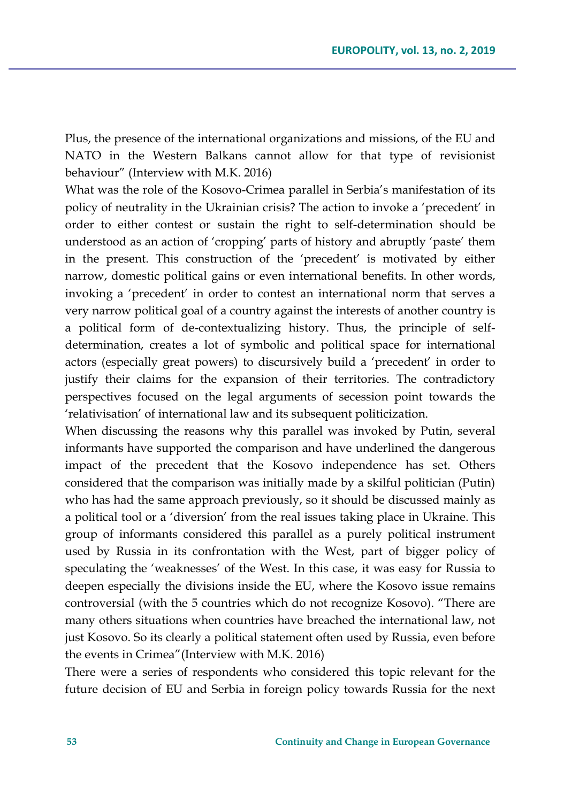Plus, the presence of the international organizations and missions, of the EU and NATO in the Western Balkans cannot allow for that type of revisionist behaviour" (Interview with M.K. 2016)

What was the role of the Kosovo-Crimea parallel in Serbia's manifestation of its policy of neutrality in the Ukrainian crisis? The action to invoke a 'precedent' in order to either contest or sustain the right to self-determination should be understood as an action of 'cropping' parts of history and abruptly 'paste' them in the present. This construction of the 'precedent' is motivated by either narrow, domestic political gains or even international benefits. In other words, invoking a 'precedent' in order to contest an international norm that serves a very narrow political goal of a country against the interests of another country is a political form of de-contextualizing history. Thus, the principle of selfdetermination, creates a lot of symbolic and political space for international actors (especially great powers) to discursively build a 'precedent' in order to justify their claims for the expansion of their territories. The contradictory perspectives focused on the legal arguments of secession point towards the 'relativisation' of international law and its subsequent politicization.

When discussing the reasons why this parallel was invoked by Putin, several informants have supported the comparison and have underlined the dangerous impact of the precedent that the Kosovo independence has set. Others considered that the comparison was initially made by a skilful politician (Putin) who has had the same approach previously, so it should be discussed mainly as a political tool or a 'diversion' from the real issues taking place in Ukraine. This group of informants considered this parallel as a purely political instrument used by Russia in its confrontation with the West, part of bigger policy of speculating the 'weaknesses' of the West. In this case, it was easy for Russia to deepen especially the divisions inside the EU, where the Kosovo issue remains controversial (with the 5 countries which do not recognize Kosovo). "There are many others situations when countries have breached the international law, not just Kosovo. So its clearly a political statement often used by Russia, even before the events in Crimea"(Interview with M.K. 2016)

There were a series of respondents who considered this topic relevant for the future decision of EU and Serbia in foreign policy towards Russia for the next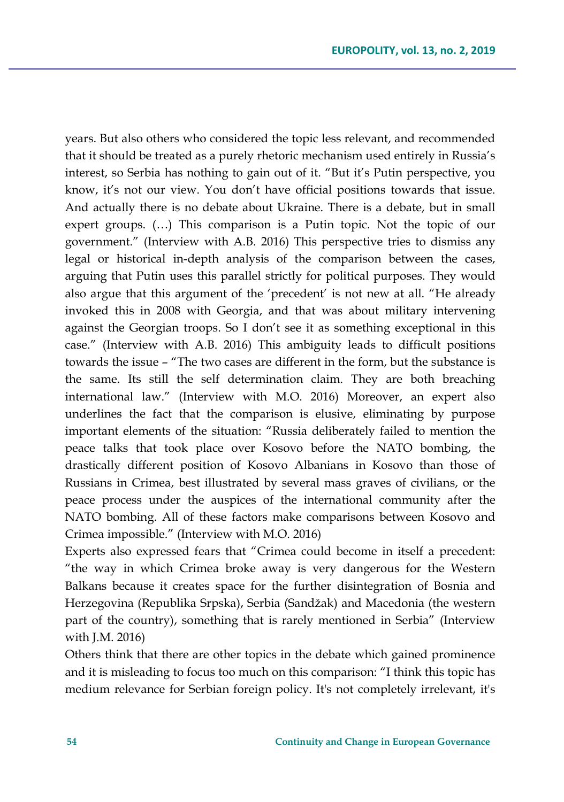years. But also others who considered the topic less relevant, and recommended that it should be treated as a purely rhetoric mechanism used entirely in Russia's interest, so Serbia has nothing to gain out of it. "But it's Putin perspective, you know, it's not our view. You don't have official positions towards that issue. And actually there is no debate about Ukraine. There is a debate, but in small expert groups. (…) This comparison is a Putin topic. Not the topic of our government." (Interview with A.B. 2016) This perspective tries to dismiss any legal or historical in-depth analysis of the comparison between the cases, arguing that Putin uses this parallel strictly for political purposes. They would also argue that this argument of the 'precedent' is not new at all. "He already invoked this in 2008 with Georgia, and that was about military intervening against the Georgian troops. So I don't see it as something exceptional in this case." (Interview with A.B. 2016) This ambiguity leads to difficult positions towards the issue – "The two cases are different in the form, but the substance is the same. Its still the self determination claim. They are both breaching international law." (Interview with M.O. 2016) Moreover, an expert also underlines the fact that the comparison is elusive, eliminating by purpose important elements of the situation: "Russia deliberately failed to mention the peace talks that took place over Kosovo before the NATO bombing, the drastically different position of Kosovo Albanians in Kosovo than those of Russians in Crimea, best illustrated by several mass graves of civilians, or the peace process under the auspices of the international community after the NATO bombing. All of these factors make comparisons between Kosovo and Crimea impossible." (Interview with M.O. 2016)

Experts also expressed fears that "Crimea could become in itself a precedent: "the way in which Crimea broke away is very dangerous for the Western Balkans because it creates space for the further disintegration of Bosnia and Herzegovina (Republika Srpska), Serbia (Sandžak) and Macedonia (the western part of the country), something that is rarely mentioned in Serbia" (Interview with J.M. 2016)

Others think that there are other topics in the debate which gained prominence and it is misleading to focus too much on this comparison: "I think this topic has medium relevance for Serbian foreign policy. It's not completely irrelevant, it's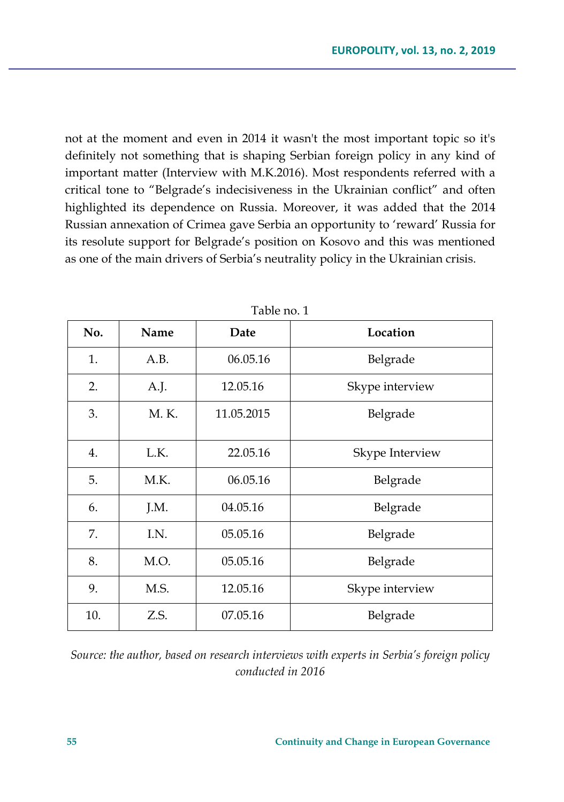not at the moment and even in 2014 it wasn't the most important topic so it's definitely not something that is shaping Serbian foreign policy in any kind of important matter (Interview with M.K.2016). Most respondents referred with a critical tone to "Belgrade's indecisiveness in the Ukrainian conflict" and often highlighted its dependence on Russia. Moreover, it was added that the 2014 Russian annexation of Crimea gave Serbia an opportunity to 'reward' Russia for its resolute support for Belgrade's position on Kosovo and this was mentioned as one of the main drivers of Serbia's neutrality policy in the Ukrainian crisis.

| No. | Name  | Date       | Location        |
|-----|-------|------------|-----------------|
| 1.  | A.B.  | 06.05.16   | Belgrade        |
| 2.  | A.J.  | 12.05.16   | Skype interview |
| 3.  | M. K. | 11.05.2015 | Belgrade        |
| 4.  | L.K.  | 22.05.16   | Skype Interview |
| 5.  | M.K.  | 06.05.16   | Belgrade        |
| 6.  | J.M.  | 04.05.16   | Belgrade        |
| 7.  | I.N.  | 05.05.16   | Belgrade        |
| 8.  | M.O.  | 05.05.16   | Belgrade        |
| 9.  | M.S.  | 12.05.16   | Skype interview |
| 10. | Z.S.  | 07.05.16   | Belgrade        |

Table no. 1

*Source: the author, based on research interviews with experts in Serbia's foreign policy conducted in 2016*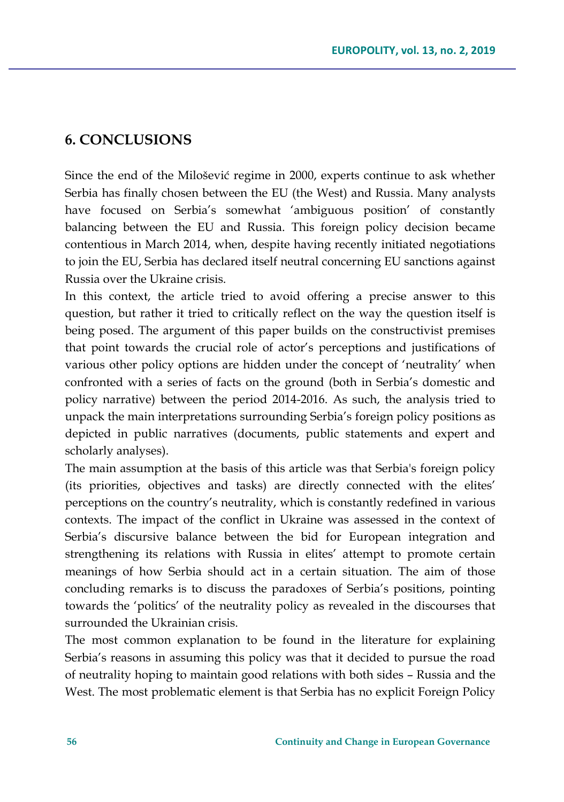### **6. CONCLUSIONS**

Since the end of the Milošević regime in 2000, experts continue to ask whether Serbia has finally chosen between the EU (the West) and Russia. Many analysts have focused on Serbia's somewhat 'ambiguous position' of constantly balancing between the EU and Russia. This foreign policy decision became contentious in March 2014, when, despite having recently initiated negotiations to join the EU, Serbia has declared itself neutral concerning EU sanctions against Russia over the Ukraine crisis.

In this context, the article tried to avoid offering a precise answer to this question, but rather it tried to critically reflect on the way the question itself is being posed. The argument of this paper builds on the constructivist premises that point towards the crucial role of actor's perceptions and justifications of various other policy options are hidden under the concept of 'neutrality' when confronted with a series of facts on the ground (both in Serbia's domestic and policy narrative) between the period 2014-2016. As such, the analysis tried to unpack the main interpretations surrounding Serbia's foreign policy positions as depicted in public narratives (documents, public statements and expert and scholarly analyses).

The main assumption at the basis of this article was that Serbia's foreign policy (its priorities, objectives and tasks) are directly connected with the elites' perceptions on the country's neutrality, which is constantly redefined in various contexts. The impact of the conflict in Ukraine was assessed in the context of Serbia's discursive balance between the bid for European integration and strengthening its relations with Russia in elites' attempt to promote certain meanings of how Serbia should act in a certain situation. The aim of those concluding remarks is to discuss the paradoxes of Serbia's positions, pointing towards the 'politics' of the neutrality policy as revealed in the discourses that surrounded the Ukrainian crisis.

The most common explanation to be found in the literature for explaining Serbia's reasons in assuming this policy was that it decided to pursue the road of neutrality hoping to maintain good relations with both sides – Russia and the West. The most problematic element is that Serbia has no explicit Foreign Policy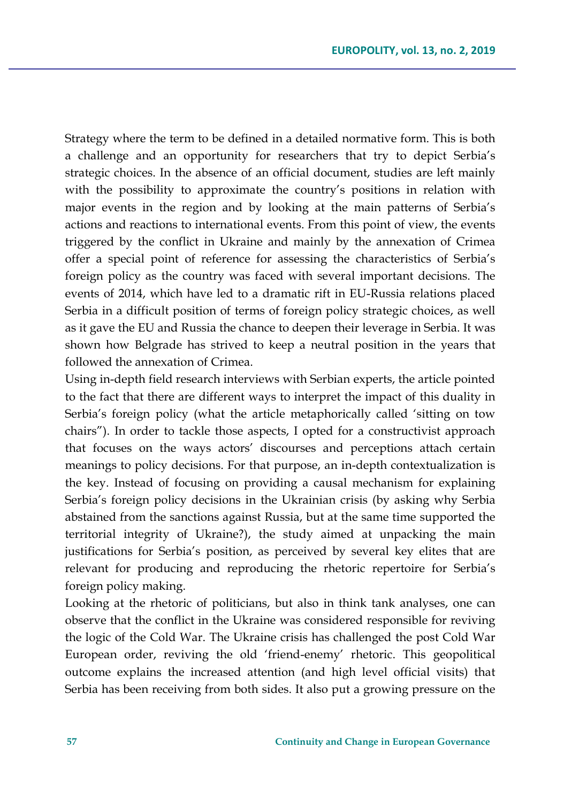Strategy where the term to be defined in a detailed normative form. This is both a challenge and an opportunity for researchers that try to depict Serbia's strategic choices. In the absence of an official document, studies are left mainly with the possibility to approximate the country's positions in relation with major events in the region and by looking at the main patterns of Serbia's actions and reactions to international events. From this point of view, the events triggered by the conflict in Ukraine and mainly by the annexation of Crimea offer a special point of reference for assessing the characteristics of Serbia's foreign policy as the country was faced with several important decisions. The events of 2014, which have led to a dramatic rift in EU-Russia relations placed Serbia in a difficult position of terms of foreign policy strategic choices, as well as it gave the EU and Russia the chance to deepen their leverage in Serbia. It was shown how Belgrade has strived to keep a neutral position in the years that followed the annexation of Crimea.

Using in-depth field research interviews with Serbian experts, the article pointed to the fact that there are different ways to interpret the impact of this duality in Serbia's foreign policy (what the article metaphorically called 'sitting on tow chairs"). In order to tackle those aspects, I opted for a constructivist approach that focuses on the ways actors' discourses and perceptions attach certain meanings to policy decisions. For that purpose, an in-depth contextualization is the key. Instead of focusing on providing a causal mechanism for explaining Serbia's foreign policy decisions in the Ukrainian crisis (by asking why Serbia abstained from the sanctions against Russia, but at the same time supported the territorial integrity of Ukraine?), the study aimed at unpacking the main justifications for Serbia's position, as perceived by several key elites that are relevant for producing and reproducing the rhetoric repertoire for Serbia's foreign policy making.

Looking at the rhetoric of politicians, but also in think tank analyses, one can observe that the conflict in the Ukraine was considered responsible for reviving the logic of the Cold War. The Ukraine crisis has challenged the post Cold War European order, reviving the old 'friend-enemy' rhetoric. This geopolitical outcome explains the increased attention (and high level official visits) that Serbia has been receiving from both sides. It also put a growing pressure on the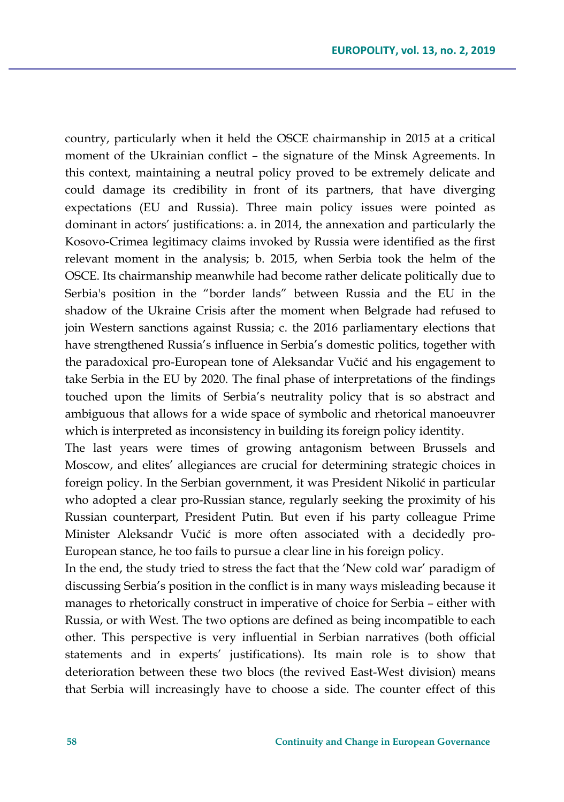country, particularly when it held the OSCE chairmanship in 2015 at a critical moment of the Ukrainian conflict – the signature of the Minsk Agreements. In this context, maintaining a neutral policy proved to be extremely delicate and could damage its credibility in front of its partners, that have diverging expectations (EU and Russia). Three main policy issues were pointed as dominant in actors' justifications: a. in 2014, the annexation and particularly the Kosovo-Crimea legitimacy claims invoked by Russia were identified as the first relevant moment in the analysis; b. 2015, when Serbia took the helm of the OSCE. Its chairmanship meanwhile had become rather delicate politically due to Serbia's position in the "border lands" between Russia and the EU in the shadow of the Ukraine Crisis after the moment when Belgrade had refused to join Western sanctions against Russia; c. the 2016 parliamentary elections that have strengthened Russia's influence in Serbia's domestic politics, together with the paradoxical pro-European tone of Aleksandar Vučić and his engagement to take Serbia in the EU by 2020. The final phase of interpretations of the findings touched upon the limits of Serbia's neutrality policy that is so abstract and ambiguous that allows for a wide space of symbolic and rhetorical manoeuvrer which is interpreted as inconsistency in building its foreign policy identity.

The last years were times of growing antagonism between Brussels and Moscow, and elites' allegiances are crucial for determining strategic choices in foreign policy. In the Serbian government, it was President Nikolić in particular who adopted a clear pro-Russian stance, regularly seeking the proximity of his Russian counterpart, President Putin. But even if his party colleague Prime Minister Aleksandr Vučić is more often associated with a decidedly pro-European stance, he too fails to pursue a clear line in his foreign policy.

In the end, the study tried to stress the fact that the 'New cold war' paradigm of discussing Serbia's position in the conflict is in many ways misleading because it manages to rhetorically construct in imperative of choice for Serbia – either with Russia, or with West. The two options are defined as being incompatible to each other. This perspective is very influential in Serbian narratives (both official statements and in experts' justifications). Its main role is to show that deterioration between these two blocs (the revived East-West division) means that Serbia will increasingly have to choose a side. The counter effect of this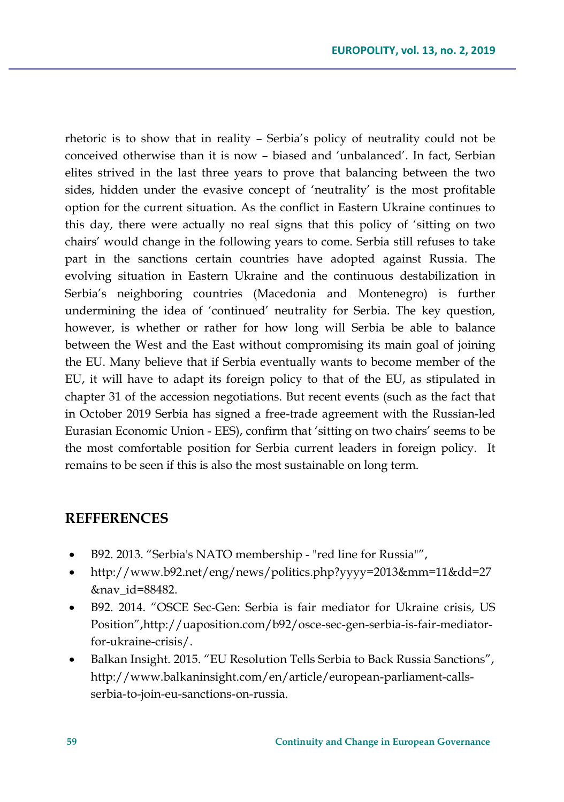rhetoric is to show that in reality – Serbia's policy of neutrality could not be conceived otherwise than it is now – biased and 'unbalanced'. In fact, Serbian elites strived in the last three years to prove that balancing between the two sides, hidden under the evasive concept of 'neutrality' is the most profitable option for the current situation. As the conflict in Eastern Ukraine continues to this day, there were actually no real signs that this policy of 'sitting on two chairs' would change in the following years to come. Serbia still refuses to take part in the sanctions certain countries have adopted against Russia. The evolving situation in Eastern Ukraine and the continuous destabilization in Serbia's neighboring countries (Macedonia and Montenegro) is further undermining the idea of 'continued' neutrality for Serbia. The key question, however, is whether or rather for how long will Serbia be able to balance between the West and the East without compromising its main goal of joining the EU. Many believe that if Serbia eventually wants to become member of the EU, it will have to adapt its foreign policy to that of the EU, as stipulated in chapter 31 of the accession negotiations. But recent events (such as the fact that in October 2019 Serbia has signed a free-trade agreement with the Russian-led Eurasian Economic Union - EES), confirm that 'sitting on two chairs' seems to be the most comfortable position for Serbia current leaders in foreign policy. It remains to be seen if this is also the most sustainable on long term.

#### **REFFERENCES**

- B92. 2013. "Serbia's NATO membership "red line for Russia"",
- [http://www.b92.net/eng/news/politics.php?yyyy=2013&mm=11&dd=27](http://www.b92.net/eng/news/politics.php?yyyy=2013&mm=11&dd=27&nav_id=88482) [&nav\\_id=88482.](http://www.b92.net/eng/news/politics.php?yyyy=2013&mm=11&dd=27&nav_id=88482)
- B92. 2014. "OSCE Sec-Gen: Serbia is fair mediator for Ukraine crisis, US Position",[http://uaposition.com/b92/osce-sec-gen-serbia-is-fair-mediator](http://uaposition.com/b92/osce-sec-gen-serbia-is-fair-mediator-for-ukraine-crisis/)[for-ukraine-crisis/.](http://uaposition.com/b92/osce-sec-gen-serbia-is-fair-mediator-for-ukraine-crisis/)
- Balkan Insight. 2015. "EU Resolution Tells Serbia to Back Russia Sanctions", http://www.balkaninsight.com/en/article/european-parliament-callsserbia-to-join-eu-sanctions-on-russia.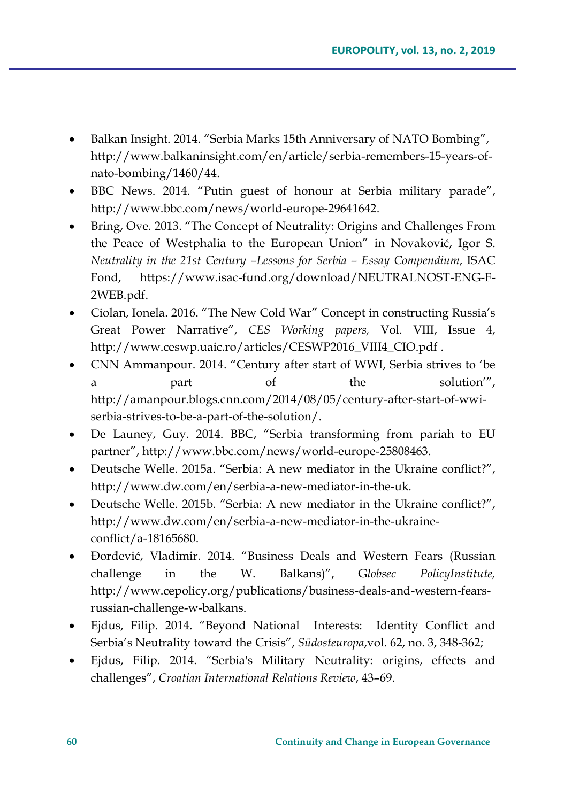- Balkan Insight. 2014. "Serbia Marks 15th Anniversary of NATO Bombing", http://www.balkaninsight.com/en/article/serbia-remembers-15-years-ofnato-bombing/1460/44.
- BBC News. 2014. "Putin guest of honour at Serbia military parade", http://www.bbc.com/news/world-europe-29641642.
- Bring, Ove. 2013. "The Concept of Neutrality: Origins and Challenges From the Peace of Westphalia to the European Union" in Novaković, Igor S. *Neutrality in the 21st Century –Lessons for Serbia – Essay Compendium*, ISAC Fond, https://www.isac-fund.org/download/NEUTRALNOST-ENG-F-2WEB.pdf.
- Ciolan, Ionela. 2016. "The New Cold War" Concept in constructing Russia's Great Power Narrative", *CES Working papers,* Vol. VIII, Issue 4, http://www.ceswp.uaic.ro/articles/CESWP2016\_VIII4\_CIO.pdf .
- CNN Ammanpour. 2014. "Century after start of WWI, Serbia strives to 'be a part of the solution'", http://amanpour.blogs.cnn.com/2014/08/05/century-after-start-of-wwiserbia-strives-to-be-a-part-of-the-solution/.
- De Launey, Guy. 2014. BBC, "Serbia transforming from pariah to EU partner", [http://www.bbc.com/news/world-europe-25808463.](http://www.bbc.com/news/world-europe-25808463)
- Deutsche Welle. 2015a. "Serbia: A new mediator in the Ukraine conflict?", [http://www.dw.com/en/serbia-a-new-mediator-in-the-uk.](http://www.dw.com/en/serbia-a-new-mediator-in-the-uk)
- Deutsche Welle. 2015b. "Serbia: A new mediator in the Ukraine conflict?", [http://www.dw.com/en/serbia-a-new-mediator-in-the-ukraine](http://www.dw.com/en/serbia-a-new-mediator-in-the-ukraine-conflict/a-18165680)[conflict/a-18165680.](http://www.dw.com/en/serbia-a-new-mediator-in-the-ukraine-conflict/a-18165680)
- Đorđević, Vladimir. 2014. "Business Deals and Western Fears (Russian challenge in the W. Balkans)", G*lobsec PolicyInstitute,* [http://www.cepolicy.org/publications/business-deals-and-western-fears](http://www.cepolicy.org/publications/business-deals-and-western-fears-russian-challenge-w-balkans)[russian-challenge-w-balkans.](http://www.cepolicy.org/publications/business-deals-and-western-fears-russian-challenge-w-balkans)
- Ejdus, Filip. 2014. "Beyond National Interests: Identity Conflict and Serbia's Neutrality toward the Crisis", *Südosteuropa*,vol*.* 62, no. 3, 348-362;
- Ejdus, Filip. 2014. "Serbia's Military Neutrality: origins, effects and challenges", *Croatian International Relations Review*, 43–69.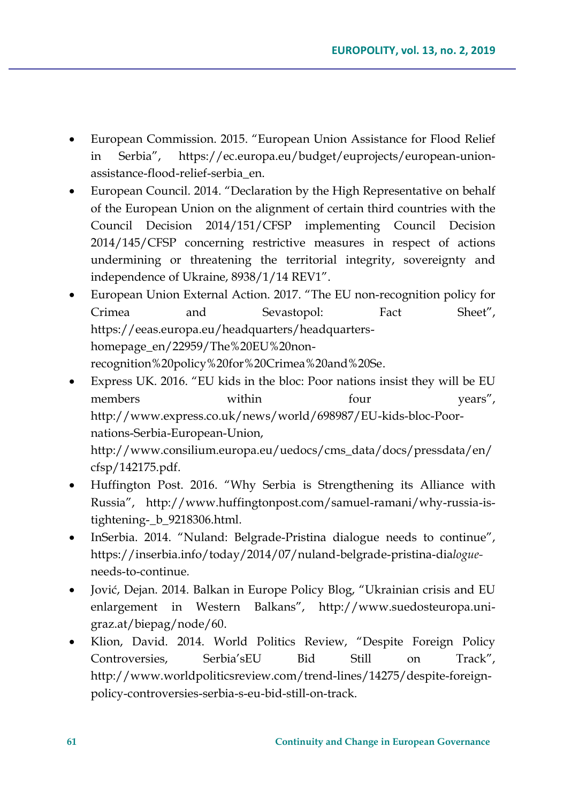- European Commission. 2015. "European Union Assistance for Flood Relief in Serbia", [https://ec.europa.eu/budget/euprojects/european-union](https://ec.europa.eu/budget/euprojects/european-union-assistance-flood-relief-serbia_en)[assistance-flood-relief-serbia\\_en.](https://ec.europa.eu/budget/euprojects/european-union-assistance-flood-relief-serbia_en)
- European Council. 2014. "Declaration by the High Representative on behalf of the European Union on the alignment of certain third countries with the Council Decision 2014/151/CFSP implementing Council Decision 2014/145/CFSP concerning restrictive measures in respect of actions undermining or threatening the territorial integrity, sovereignty and independence of Ukraine, 8938/1/14 REV1".
- European Union External Action. 2017. "The EU non-recognition policy for Crimea and Sevastopol: Fact Sheet", https://eeas.europa.eu/headquarters/headquartershomepage\_en/22959/The%20EU%20nonrecognition%20policy%20for%20Crimea%20and%20Se.
- Express UK. 2016. "EU kids in the bloc: Poor nations insist they will be EU members within four years", [http://www.express.co.uk/news/world/698987/EU-kids-bloc-Poor](http://www.express.co.uk/news/world/698987/EU-kids-bloc-Poor-nations-Serbia-European-Union)[nations-Serbia-European-Union,](http://www.express.co.uk/news/world/698987/EU-kids-bloc-Poor-nations-Serbia-European-Union)

[http://www.consilium.europa.eu/uedocs/cms\\_data/docs/pressdata/en/](http://www.consilium.europa.eu/uedocs/cms_data/docs/pressdata/en/cfsp/142175.pdf) [cfsp/142175.pdf.](http://www.consilium.europa.eu/uedocs/cms_data/docs/pressdata/en/cfsp/142175.pdf)

- Huffington Post. 2016. "Why Serbia is Strengthening its Alliance with Russia", [http://www.huffingtonpost.com/samuel-ramani/why-russia-is](http://www.huffingtonpost.com/samuel-ramani/why-russia-is-tightening-_b_9218306.html)[tightening-\\_b\\_9218306.html.](http://www.huffingtonpost.com/samuel-ramani/why-russia-is-tightening-_b_9218306.html)
- InSerbia. 2014. "Nuland: Belgrade-Pristina dialogue needs to continue", [https://inserbia.info/today/2014/07/nuland-belgrade-pristina-dia](https://inserbia.info/today/2014/07/nuland-belgrade-pristina-dialogue-needs-to-continue)*logue*[needs-to-continue](https://inserbia.info/today/2014/07/nuland-belgrade-pristina-dialogue-needs-to-continue)*.*
- Jović, Dejan. 2014. Balkan in Europe Policy Blog, "Ukrainian crisis and EU enlargement in Western Balkans", [http://www.suedosteuropa.uni](http://www.suedosteuropa.uni-graz.at/biepag/node/60)[graz.at/biepag/node/60.](http://www.suedosteuropa.uni-graz.at/biepag/node/60)
- Klion, David. 2014. World Politics Review, "Despite Foreign Policy Controversies, Serbia'sEU Bid Still on Track", [http://www.worldpoliticsreview.com/trend-lines/14275/despite-foreign](http://www.worldpoliticsreview.com/trend-lines/14275/despite-foreign-policy-controversies-serbia-s-eu-bid-still-on-track)[policy-controversies-serbia-s-eu-bid-still-on-track.](http://www.worldpoliticsreview.com/trend-lines/14275/despite-foreign-policy-controversies-serbia-s-eu-bid-still-on-track)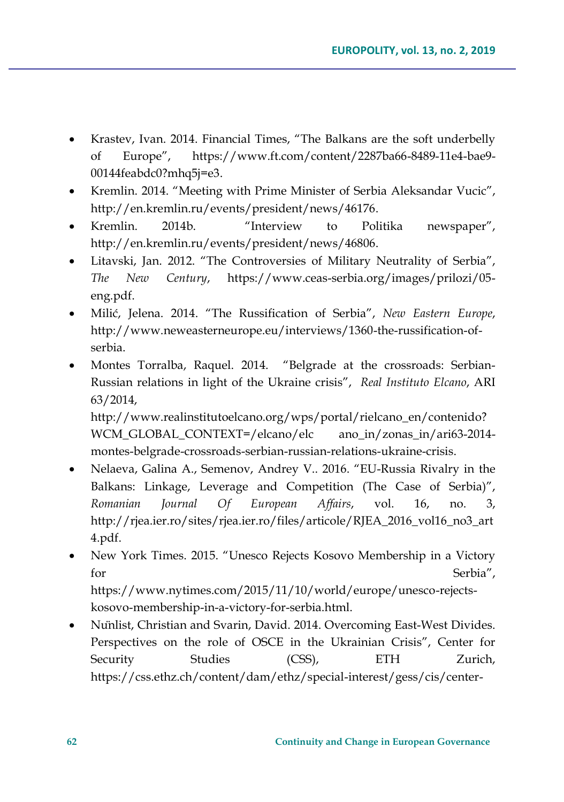- Krastev, Ivan. 2014. Financial Times, "The Balkans are the soft underbelly of Europe", https://www.ft.com/content/2287ba66-8489-11e4-bae9- 00144feabdc0?mhq5j=e3.
- Kremlin. 2014. "Meeting with Prime Minister of Serbia Aleksandar Vucic", [http://en.kremlin.ru/events/president/news/46176.](http://en.kremlin.ru/events/president/news/46176)
- Kremlin. 2014b. "Interview to Politika newspaper", http://en.kremlin.ru/events/president/news/46806.
- Litavski, Jan. 2012. "The Controversies of Military Neutrality of Serbia", *The New Century*, [https://www.ceas-serbia.org/images/prilozi/05](https://www.ceas-serbia.org/images/prilozi/05-eng.pdf) [eng.pdf.](https://www.ceas-serbia.org/images/prilozi/05-eng.pdf)
- Milić, Jelena. 2014. "The Russification of Serbia", *New Eastern Europe*, [http://www.neweasterneurope.eu/interviews/1360-the-russification-of](http://www.neweasterneurope.eu/interviews/1360-the-russification-of-serbia)[serbia.](http://www.neweasterneurope.eu/interviews/1360-the-russification-of-serbia)
- Montes Torralba, Raquel. 2014. "Belgrade at the crossroads: Serbian-Russian relations in light of the Ukraine crisis", *Real Instituto Elcano*, ARI 63/2014,

http://www.realinstitutoelcano.org/wps/portal/rielcano\_en/contenido? WCM\_GLOBAL\_CONTEXT=/elcano/elc ano\_in/zonas\_in/ari63-2014 montes-belgrade-crossroads-serbian-russian-relations-ukraine-crisis.

- Nelaeva, Galina A., Semenov, Andrey V.. 2016. "EU-Russia Rivalry in the Balkans: Linkage, Leverage and Competition (The Case of Serbia)", *Romanian Journal Of European Affairs*, vol. 16, no. 3, [http://rjea.ier.ro/sites/rjea.ier.ro/files/articole/RJEA\\_2016\\_vol16\\_no3\\_art](http://rjea.ier.ro/sites/rjea.ier.ro/files/articole/RJEA_2016_vol16_no3_art4.pdf) [4.pdf.](http://rjea.ier.ro/sites/rjea.ier.ro/files/articole/RJEA_2016_vol16_no3_art4.pdf)
- New York Times. 2015. "Unesco Rejects Kosovo Membership in a Victory for Serbia", [https://www.nytimes.com/2015/11/10/world/europe/unesco-rejects](https://www.nytimes.com/2015/11/10/world/europe/unesco-rejects-kosovo-membership-in-a-victory-for-serbia.html)[kosovo-membership-in-a-victory-for-serbia.html.](https://www.nytimes.com/2015/11/10/world/europe/unesco-rejects-kosovo-membership-in-a-victory-for-serbia.html)
- Nünlist, Christian and Svarin, David. 2014. Overcoming East-West Divides. Perspectives on the role of OSCE in the Ukrainian Crisis", Center for Security Studies (CSS), ETH Zurich, [https://css.ethz.ch/content/dam/ethz/special-interest/gess/cis/center-](https://css.ethz.ch/content/dam/ethz/special-interest/gess/cis/center-for-securities-studies/pdfs/Perspectives-on-the-Role-of-the-OSCE-in-the-Ukraine-Crisis.pdf)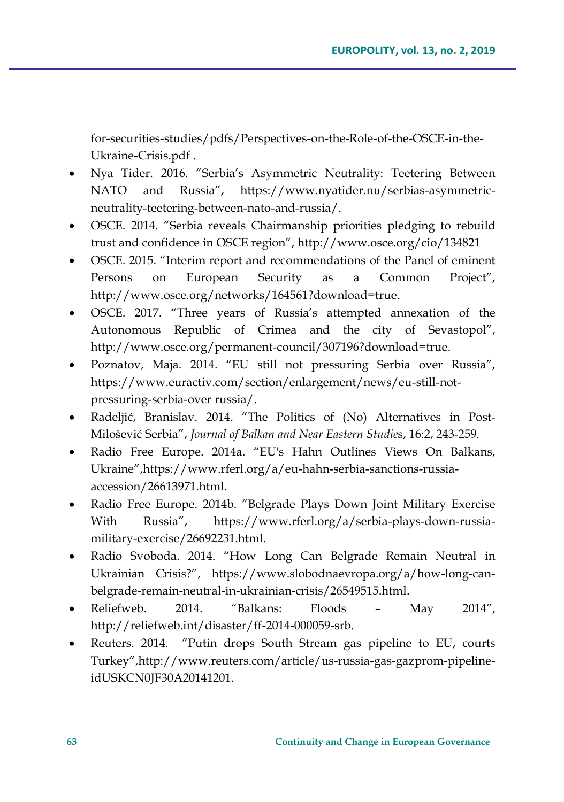[for-securities-studies/pdfs/Perspectives-on-the-Role-of-the-OSCE-in-the-](https://css.ethz.ch/content/dam/ethz/special-interest/gess/cis/center-for-securities-studies/pdfs/Perspectives-on-the-Role-of-the-OSCE-in-the-Ukraine-Crisis.pdf)[Ukraine-Crisis.pdf](https://css.ethz.ch/content/dam/ethz/special-interest/gess/cis/center-for-securities-studies/pdfs/Perspectives-on-the-Role-of-the-OSCE-in-the-Ukraine-Crisis.pdf) .

- Nya Tider. 2016. "Serbia's Asymmetric Neutrality: Teetering Between NATO and Russia", [https://www.nyatider.nu/serbias-asymmetric](https://www.nyatider.nu/serbias-asymmetric-neutrality-teetering-between-nato-and-russia/)[neutrality-teetering-between-nato-and-russia/.](https://www.nyatider.nu/serbias-asymmetric-neutrality-teetering-between-nato-and-russia/)
- OSCE. 2014. "Serbia reveals Chairmanship priorities pledging to rebuild trust and confidence in OSCE region", <http://www.osce.org/cio/134821>
- OSCE. 2015. "Interim report and recommendations of the Panel of eminent Persons on European Security as a Common Project", [http://www.osce.org/networks/164561?download=true.](http://www.osce.org/networks/164561?download=true)
- OSCE. 2017. "Three years of Russia's attempted annexation of the Autonomous Republic of Crimea and the city of Sevastopol", [http://www.osce.org/permanent-council/307196?download=true.](http://www.osce.org/permanent-council/307196?download=true)
- Poznatov, Maja. 2014. "EU still not pressuring Serbia over Russia", https://www.euractiv.com/section/enlargement/news/eu-still-notpressuring-serbia-over russia/.
- Radeljić, Branislav. 2014. "The Politics of (No) Alternatives in Post-Milošević Serbia", *Journal of Balkan and Near Eastern Studie*s, 16:2, 243-259.
- Radio Free Europe. 2014a. "EU's Hahn Outlines Views On Balkans, Ukraine",[https://www.rferl.org/a/eu-hahn-serbia-sanctions-russia](https://www.rferl.org/a/eu-hahn-serbia-sanctions-russia-accession/26613971.html)[accession/26613971.html.](https://www.rferl.org/a/eu-hahn-serbia-sanctions-russia-accession/26613971.html)
- Radio Free Europe. 2014b. "Belgrade Plays Down Joint Military Exercise With Russia", [https://www.rferl.org/a/serbia-plays-down-russia](https://www.rferl.org/a/serbia-plays-down-russia-military-exercise/26692231.html)[military-exercise/26692231.html.](https://www.rferl.org/a/serbia-plays-down-russia-military-exercise/26692231.html)
- Radio Svoboda. 2014. "How Long Can Belgrade Remain Neutral in Ukrainian Crisis?", [https://www.slobodnaevropa.org/a/how-long-can](https://www.slobodnaevropa.org/a/how-long-can-belgrade-remain-neutral-in-ukrainian-crisis/26549515.html)[belgrade-remain-neutral-in-ukrainian-crisis/26549515.html.](https://www.slobodnaevropa.org/a/how-long-can-belgrade-remain-neutral-in-ukrainian-crisis/26549515.html)
- Reliefweb. 2014. "Balkans: Floods May 2014", [http://reliefweb.int/disaster/ff-2014-000059-srb.](http://reliefweb.int/disaster/ff-2014-000059-srb)
- Reuters. 2014. "Putin drops South Stream gas pipeline to EU, courts Turkey",http://www.reuters.com/article/us-russia-gas-gazprom-pipelineidUSKCN0JF30A20141201.